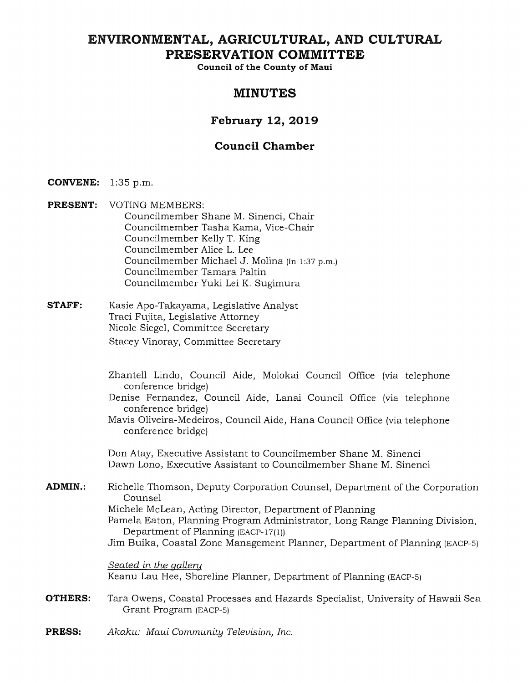# ENVIRONMENTAL, AGRICULTURAL, AND CULTURAL **PRESERVATION COMMITTEE**

**Council of the County of Maui** 

# **MINUTES**

# **February 12, 2019**

# **Council Chamber**

- **CONVENE:** 1:35 p.m.
- **PRESENT:** VOTING MEMBERS: Councilmember Shane M. Sinenci, Chair Councilmember Tasha Kama, Vice-Chair Councilmember Kelly T. King Councilmember Alice L. Lee Councilmember Michael J. Molina (In 1:37 p.m.) Councilmember Tamara Paltin Councilmember Yuki Lei K. Sugimura
- **STAFF:** Kasie Apo-Takayama, Legislative Analyst Traci Fujita, Legislative Attorney Nicole Siegel, Committee Secretary Stacey Vinoray, Committee Secretary
	- Zhantell Lindo, Council Aide, Molokai Council Office (via telephone conference bridge)
	- Denise Fernandez, Council Aide, Lanai Council Office (via telephone conference bridge)
	- Mavis Oliveira-Medeiros, Council Aide, Hana Council Office (via telephone conference bridge)

Don Atay, Executive Assistant to Councilmember Shane M. Sinenci Dawn Lono, Executive Assistant to Councilmember Shane M. Sinenci

**ADMIN.:**  Richelle Thomson, Deputy Corporation Counsel, Department of the Corporation Counsel Michele McLean, Acting Director, Department of Planning Pamela Eaton, Planning Program Administrator, Long Range Planning Division, Department of Planning (EACP-17(1)) Jim Buika, Coastal Zone Management Planner, Department of Planning (EACP-5)

> *Seated in the galleru*  Keanu Lau Hee, Shoreline Planner, Department of Planning (EACP-5)

- **OTHERS:**  Tara Owens, Coastal Processes and Hazards Specialist, University of Hawaii Sea Grant Program (EACP-5)
- **PRESS:**  *Akaku: Maui Community Television, Inc.*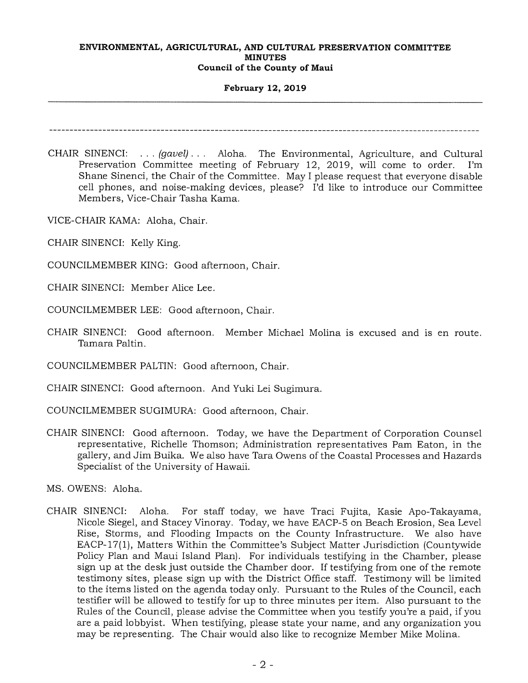### **February 12, 2019**

- CHAIR SINENCI: . . . *(gavel) . . .* Aloha. The Environmental, Agriculture, and Cultural Preservation Committee meeting of February 12, 2019, will come to order. I'm Shane Sinenci, the Chair of the Committee. May I please request that everyone disable cell phones, and noise-making devices, please? I'd like to introduce our Committee Members, Vice-Chair Tasha Kama.
- VICE-CHAIR KAMA: Aloha, Chair.
- CHAIR SINENCI: Kelly King.
- COUNCILMEMBER KING: Good afternoon, Chair.
- CHAIR SINENCI: Member Alice Lee.
- COUNCILMEMBER LEE: Good afternoon, Chair.
- CHAIR SINENCI: Good afternoon. Member Michael Molina is excused and is en route. Tamara Paltin.

COUNCILMEMBER PALTIN: Good afternoon, Chair.

- CHAIR SINENCI: Good afternoon. And Yuki Lei Sugimura.
- COUNCILMEMBER SUGIMURA: Good afternoon, Chair.
- CHAIR SINENCI: Good afternoon. Today, we have the Department of Corporation Counsel representative, Richelle Thomson; Administration representatives Pam Eaton, in the gallery, and Jim Buika. We also have Tara Owens of the Coastal Processes and Hazards Specialist of the University of Hawaii.

MS. OWENS: Aloha.

CHAIR SINENCI: Aloha. For staff today, we have Traci Fujita, Kasie Apo-Takayama, Nicole Siegel, and Stacey Vinoray. Today, we have EACP-5 on Beach Erosion, Sea Level Rise, Storms, and Flooding Impacts on the County Infrastructure. We also have EACP-17(1), Matters Within the Committee's Subject Matter Jurisdiction (Countywide Policy Plan and Maui Island Plan). For individuals testifying in the Chamber, please sign up at the desk just outside the Chamber door. If testifying from one of the remote testimony sites, please sign up with the District Office staff. Testimony will be limited to the items listed on the agenda today only. Pursuant to the Rules of the Council, each testifier will be allowed to testify for up to three minutes per item. Also pursuant to the Rules of the Council, please advise the Committee when you testify you're a paid, if you are a paid lobbyist. When testifying, please state your name, and any organization you may be representing. The Chair would also like to recognize Member Mike Molina.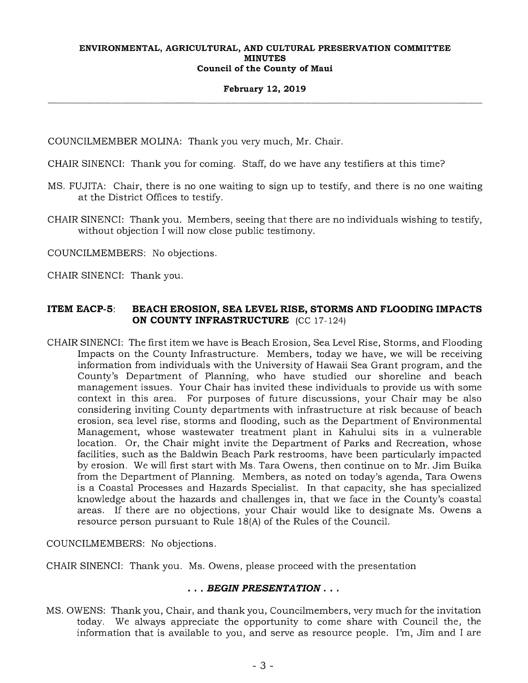### **February 12, 2019**

COUNCILMEMBER MOLINA: Thank you very much, Mr. Chair.

CHAIR SINENCI: Thank you for coming. Staff, do we have any testifiers at this time?

- MS. FUJITA: Chair, there is no one waiting to sign up to testify, and there is no one waiting at the District Offices to testify.
- CHAIR SINENCI: Thank you. Members, seeing that there are no individuals wishing to testify, without objection I will now close public testimony.

COUNCILMEMBERS: No objections.

CHAIR SINENCI: Thank you.

# **ITEM EACP-5: BEACH EROSION, SEA LEVEL RISE, STORMS AND FLOODING IMPACTS ON COUNTY INFRASTRUCTURE** (CC 17-124)

CHAIR SINENCI: The first item we have is Beach Erosion, Sea Level Rise, Storms, and Flooding Impacts on the County Infrastructure. Members, today we have, we will be receiving information from individuals with the University of Hawaii Sea Grant program, and the County's Department of Planning, who have studied our shoreline and beach management issues. Your Chair has invited these individuals to provide us with some context in this area. For purposes of future discussions, your Chair may be also considering inviting County departments with infrastructure at risk because of beach erosion, sea level rise, storms and flooding, such as the Department of Environmental Management, whose wastewater treatment plant in Kahului sits in a vulnerable location. Or, the Chair might invite the Department of Parks and Recreation, whose facilities, such as the Baldwin Beach Park restrooms, have been particularly impacted by erosion. We will first start with Ms. Tara Owens, then continue on to Mr. Jim Buika from the Department of Planning. Members, as noted on today's agenda, Tara Owens is a Coastal Processes and Hazards Specialist. In that capacity, she has specialized knowledge about the hazards and challenges in, that we face in the County's coastal areas. If there are no objections, your Chair would like to designate Ms. Owens a resource person pursuant to Rule 18(A) of the Rules of the Council.

COUNCILMEMBERS: No objections.

CHAIR SINENCI: Thank you. Ms. Owens, please proceed with the presentation

# . . . *BEGIN PRESENTATION. . .*

MS. OWENS: Thank you, Chair, and thank you, Councilmembers, very much for the invitation today. We always appreciate the opportunity to come share with Council the, the information that is available to you, and serve as resource people. I'm, Jim and I are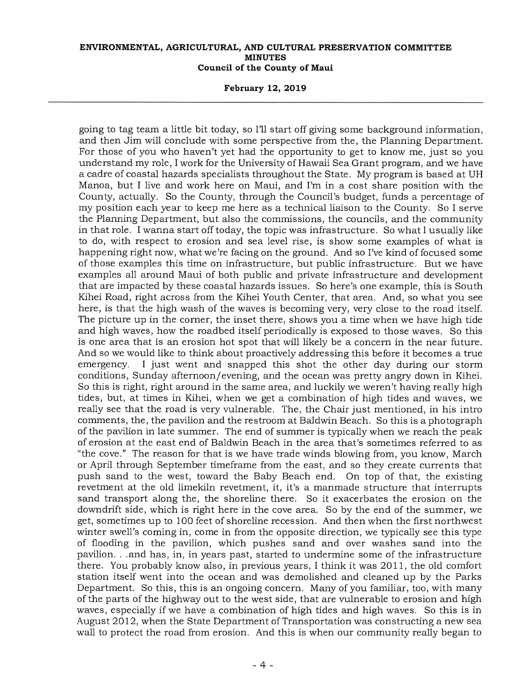**February 12, 2019** 

going to tag team a little bit today, so I'll start off giving some background information, and then Jim will conclude with some perspective from the, the Planning Department. For those of you who haven't yet had the opportunity to get to know me, just so you understand my role, I work for the University of Hawaii Sea Grant program, and we have a cadre of coastal hazards specialists throughout the State. My program is based at UH Manoa, but I live and work here on Maui, and I'm in a cost share position with the County, actually. So the County, through the Council's budget, funds a percentage of my position each year to keep me here as a technical liaison to the County. So I serve the Planning Department, but also the commissions, the councils, and the community in that role. I wanna start off today, the topic was infrastructure. So what I usually like to do, with respect to erosion and sea level rise, is show some examples of what is happening right now, what we're facing on the ground. And so I've kind of focused some of those examples this time on infrastructure, but public infrastructure. But we have examples all around Maui of both public and private infrastructure and development that are impacted by these coastal hazards issues. So here's one example, this is South Kihei Road, right across from the Kihei Youth Center, that area. And, so what you see here, is that the high wash of the waves is becoming very, very close to the road itself. The picture up in the corner, the inset there, shows you a time when we have high tide and high waves, how the roadbed itself periodically is exposed to those waves. So this is one area that is an erosion hot spot that will likely be a concern in the near future. And so we would like to think about proactively addressing this before it becomes a true emergency. I just went and snapped this shot the other day during our storm conditions, Sunday afternoon/evening, and the ocean was pretty angry down in Kihei. So this is right, right around in the same area, and luckily we weren't having really high tides, but, at times in Kihei, when we get a combination of high tides and waves, we really see that the road is very vulnerable. The, the Chair just mentioned, in his intro comments, the, the pavilion and the restroom at Baldwin Beach. So this is a photograph of the pavilion in late summer. The end of summer is typically when we reach the peak of erosion at the east end of Baldwin Beach in the area that's sometimes referred to as "the cove." The reason for that is we have trade winds blowing from, you know, March or April through September timeframe from the east, and so they create currents that push sand to the west, toward the Baby Beach end. On top of that, the existing revetment at the old limekiln revetment, it, it's a manmade structure that interrupts sand transport along the, the shoreline there. So it exacerbates the erosion on the downdrift side, which is right here in the cove area. So by the end of the summer, we get, sometimes up to 100 feet of shoreline recession. And then when the first northwest winter swell's coming in, come in from the opposite direction, we typically see this type of flooding in the pavilion, which pushes sand and over washes sand into the pavilion. . .and has, in, in years past, started to undermine some of the infrastructure there. You probably know also, in previous years, I think it was 2011, the old comfort station itself went into the ocean and was demolished and cleaned up by the Parks Department. So this, this is an ongoing concern. Many of you familiar, too, with many of the parts of the highway out to the west side, that are vulnerable to erosion and high waves, especially if we have a combination of high tides and high waves. So this is in August 2012, when the State Department of Transportation was constructing a new sea wall to protect the road from erosion. And this is when our community really began to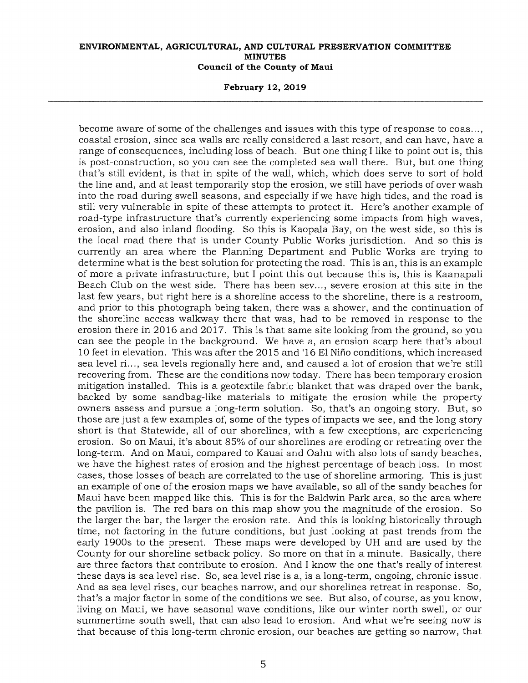**February 12, 2019** 

become aware of some of the challenges and issues with this type of response to coas..., coastal erosion, since sea walls are really considered a last resort, and can have, have a range of consequences, including loss of beach. But one thing I like to point out is, this is post-construction, so you can see the completed sea wall there. But, but one thing that's still evident, is that in spite of the wall, which, which does serve to sort of hold the line and, and at least temporarily stop the erosion, we still have periods of over wash into the road during swell seasons, and especially if we have high tides, and the road is still very vulnerable in spite of these attempts to protect it. Here's another example of road-type infrastructure that's currently experiencing some impacts from high waves, erosion, and also inland flooding. So this is Kaopala Bay, on the west side, so this is the local road there that is under County Public Works jurisdiction. And so this is currently an area where the Planning Department and Public Works are trying to determine what is the best solution for protecting the road. This is an, this is an example of more a private infrastructure, but I point this out because this is, this is Kaanapali Beach Club on the west side. There has been sev..., severe erosion at this site in the last few years, but right here is a shoreline access to the shoreline, there is a restroom, and prior to this photograph being taken, there was a shower, and the continuation of the shoreline access walkway there that was, had to be removed in response to the erosion there in 2016 and 2017. This is that same site looking from the ground, so you can see the people in the background. We have a, an erosion scarp here that's about 10 feet in elevation. This was after the 2015 and '16 El Nifio conditions, which increased sea level ri..., sea levels regionally here and, and caused a lot of erosion that we're still recovering from. These are the conditions now today. There has been temporary erosion mitigation installed. This is a geotextile fabric blanket that was draped over the bank, backed by some sandbag-like materials to mitigate the erosion while the property owners assess and pursue a long-term solution. So, that's an ongoing story. But, so those are just a few examples of, some of the types of impacts we see, and the long story short is that Statewide, all of our shorelines, with a few exceptions, are experiencing erosion. So on Maui, it's about 85% of our shorelines are eroding or retreating over the long-term. And on Maui, compared to Kauai and Oahu with also lots of sandy beaches, we have the highest rates of erosion and the highest percentage of beach loss. In most cases, those losses of beach are correlated to the use of shoreline armoring. This is just an example of one of the erosion maps we have available, so all of the sandy beaches for Maui have been mapped like this. This is for the Baldwin Park area, so the area where the pavilion is. The red bars on this map show you the magnitude of the erosion. So the larger the bar, the larger the erosion rate. And this is looking historically through time, not factoring in the future conditions, but just looking at past trends from the early 1900s to the present. These maps were developed by UH and are used by the County for our shoreline setback policy. So more on that in a minute. Basically, there are three factors that contribute to erosion. And I know the one that's really of interest these days is sea level rise. So, sea level rise is a, is a long-term, ongoing, chronic issue. And as sea level rises, our beaches narrow, and our shorelines retreat in response. So, that's a major factor in some of the conditions we see. But also, of course, as you know, living on Maui, we have seasonal wave conditions, like our winter north swell, or our summertime south swell, that can also lead to erosion. And what we're seeing now is that because of this long-term chronic erosion, our beaches are getting so narrow, that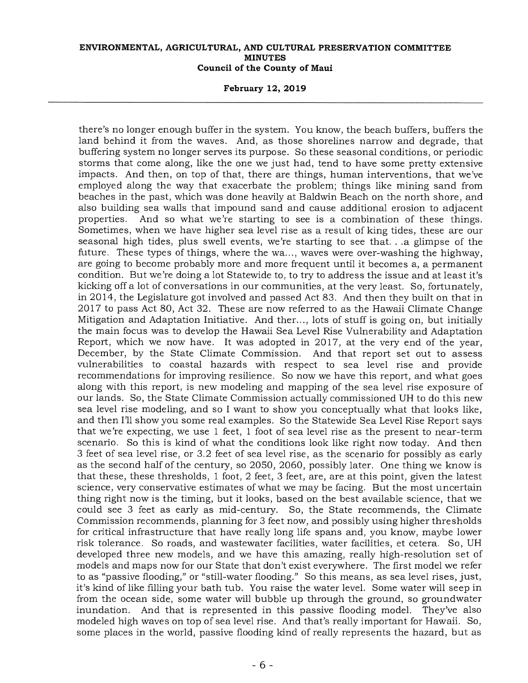**February 12, 2019** 

there's no longer enough buffer in the system. You know, the beach buffers, buffers the land behind it from the waves. And, as those shorelines narrow and degrade, that buffering system no longer serves its purpose. So these seasonal conditions, or periodic storms that come along, like the one we just had, tend to have some pretty extensive impacts. And then, on top of that, there are things, human interventions, that we've employed along the way that exacerbate the problem; things like mining sand from beaches in the past, which was done heavily at Baldwin Beach on the north shore, and also building sea walls that impound sand and cause additional erosion to adjacent properties. And so what we're starting to see is a combination of these things. Sometimes, when we have higher sea level rise as a result of king tides, these are our seasonal high tides, plus swell events, we're starting to see that. . .a glimpse of the future. These types of things, where the wa..., waves were over-washing the highway, are going to become probably more and more frequent until it becomes a, a permanent condition. But we're doing a lot Statewide to, to try to address the issue and at least it's kicking off a lot of conversations in our communities, at the very least. So, fortunately, in 2014, the Legislature got involved and passed Act 83. And then they built on that in 2017 to pass Act 80, Act 32. These are now referred to as the Hawaii Climate Change Mitigation and Adaptation Initiative. And ther..., lots of stuff is going on, but initially the main focus was to develop the Hawaii Sea Level Rise Vulnerability and Adaptation Report, which we now have. It was adopted in 2017, at the very end of the year, December, by the State Climate Commission. And that report set out to assess vulnerabilities to coastal hazards with respect to sea level rise and provide recommendations for improving resilience. So now we have this report, and what goes along with this report, is new modeling and mapping of the sea level rise exposure of our lands. So, the State Climate Commission actually commissioned UH to do this new sea level rise modeling, and so I want to show you conceptually what that looks like, and then I'll show you some real examples. So the Statewide Sea Level Rise Report says that we're expecting, we use 1 feet, 1 foot of sea level rise as the present to near-term scenario. So this is kind of what the conditions look like right now today. And then 3 feet of sea level rise, or 3.2 feet of sea level rise, as the scenario for possibly as early as the second half of the century, so 2050, 2060, possibly later. One thing we know is that these, these thresholds, 1 foot, 2 feet, 3 feet, are, are at this point, given the latest science, very conservative estimates of what we may be facing. But the most uncertain thing right now is the timing, but it looks, based on the best available science, that we could see 3 feet as early as mid-century. So, the State recommends, the Climate Commission recommends, planning for 3 feet now, and possibly using higher thresholds for critical infrastructure that have really long life spans and, you know, maybe lower risk tolerance. So roads, and wastewater facilities, water facilities, et cetera. So, UH developed three new models, and we have this amazing, really high-resolution set of models and maps now for our State that don't exist everywhere. The first model we refer to as "passive flooding," or "still-water flooding." So this means, as sea level rises, just, it's kind of like filling your bath tub. You raise the water level. Some water will seep in from the ocean side, some water will bubble up through the ground, so groundwater inundation. And that is represented in this passive flooding model. They've also modeled high waves on top of sea level rise. And that's really important for Hawaii. So, some places in the world, passive flooding kind of really represents the hazard, but as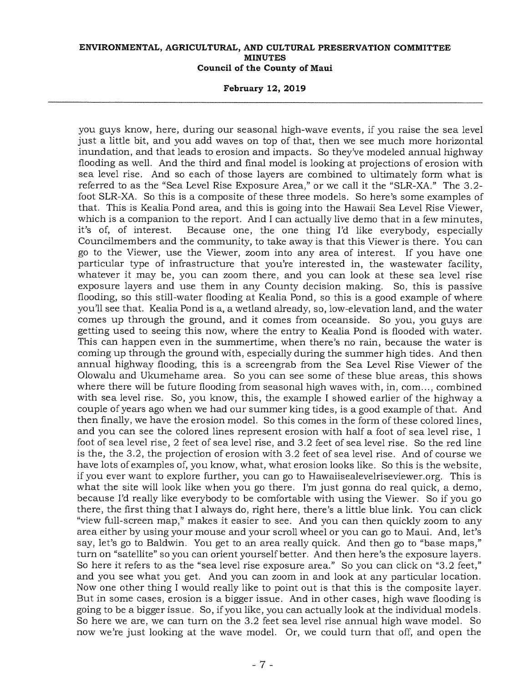**February 12, 2019** 

you guys know, here, during our seasonal high-wave events, if you raise the sea level just a little bit, and you add waves on top of that, then we see much more horizontal inundation, and that leads to erosion and impacts. So they've modeled annual highway flooding as well. And the third and final model is looking at projections of erosion with sea level rise. And so each of those layers are combined to ultimately form what is referred to as the "Sea Level Rise Exposure Area," or we call it the "SLR-XA." The 3.2 foot SLR-XA. So this is a composite of these three models. So here's some examples of that. This is Kealia Pond area, and this is going into the Hawaii Sea Level Rise Viewer, which is a companion to the report. And I can actually live demo that in a few minutes, it's of, of interest. Because one, the one thing I'd like everybody, especially Councilmembers and the community, to take away is that this Viewer is there. You can go to the Viewer, use the Viewer, zoom into any area of interest. If you have one particular type of infrastructure that you're interested in, the wastewater facility, whatever it may be, you can zoom there, and you can look at these sea level rise exposure layers and use them in any County decision making. So, this is passive flooding, so this still-water flooding at Kealia Pond, so this is a good example of where you'll see that. Kealia Pond is a, a wetland already, so, low-elevation land, and the water comes up through the ground, and it comes from oceanside. So you, you guys are getting used to seeing this now, where the entry to Kealia Pond is flooded with water. This can happen even in the summertime, when there's no rain, because the water is coming up through the ground with, especially during the summer high tides. And then annual highway flooding, this is a screengrab from the Sea Level Rise Viewer of the Olowalu and Ukumehame area. So you can see some of these blue areas, this shows where there will be future flooding from seasonal high waves with, in, com..., combined with sea level rise. So, you know, this, the example I showed earlier of the highway a couple of years ago when we had our summer king tides, is a good example of that. And then finally, we have the erosion model. So this comes in the form of these colored lines, and you can see the colored lines represent erosion with half a foot of sea level rise, 1 foot of sea level rise, 2 feet of sea level rise, and 3.2 feet of sea level rise. So the red line is the, the 3.2, the projection of erosion with 3.2 feet of sea level rise. And of course we have lots of examples of, you know, what, what erosion looks like. So this is the website, if you ever want to explore further, you can go to Hawaiisealevelriseviewer.org. This is what the site will look like when you go there. I'm just gonna do real quick, a demo, because I'd really like everybody to be comfortable with using the Viewer. So if you go there, the first thing that I always do, right here, there's a little blue link. You can click "view full-screen map," makes it easier to see. And you can then quickly zoom to any area either by using your mouse and your scroll wheel or you can go to Maui. And, let's say, let's go to Baldwin. You get to an area really quick. And then go to "base maps," turn on "satellite" so you can orient yourself better. And then here's the exposure layers. So here it refers to as the "sea level rise exposure area." So you can click on "3.2 feet," and you see what you get. And you can zoom in and look at any particular location. Now one other thing I would really like to point out is that this is the composite layer. But in some cases, erosion is a bigger issue. And in other cases, high wave flooding is going to be a bigger issue. So, if you like, you can actually look at the individual models. So here we are, we can turn on the 3.2 feet sea level rise annual high wave model. So now we're just looking at the wave model. Or, we could turn that off, and open the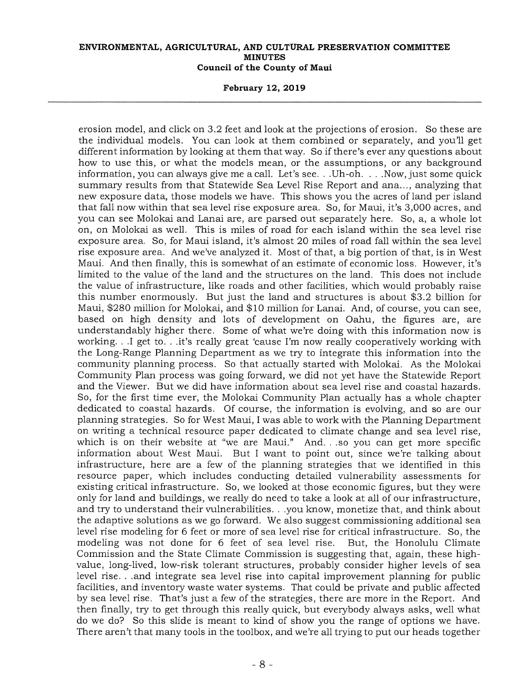**February 12, 2019** 

erosion model, and click on 3.2 feet and look at the projections of erosion. So these are the individual models. You can look at them combined or separately, and you'll get different information by looking at them that way. So if there's ever any questions about how to use this, or what the models mean, or the assumptions, or any background information, you can always give me a call. Let's see. . .Uh-oh. . . .Now, just some quick summary results from that Statewide Sea Level Rise Report and ana..., analyzing that new exposure data, those models we have. This shows you the acres of land per island that fall now within that sea level rise exposure area. So, for Maui, it's 3,000 acres, and you can see Molokai and Lanai are, are parsed out separately here. So, a, a whole lot on, on Molokai as well. This is miles of road for each island within the sea level rise exposure area. So, for Maui island, it's almost 20 miles of road fall within the sea level rise exposure area. And we've analyzed it. Most of that, a big portion of that, is in West Maui. And then finally, this is somewhat of an estimate of economic loss. However, it's limited to the value of the land and the structures on the land. This does not include the value of infrastructure, like roads and other facilities, which would probably raise this number enormously. But just the land and structures is about \$3.2 billion for Maui, \$280 million for Molokai, and \$10 million for Lanai. And, of course, you can see, based on high density and lots of development on Oahu, the figures are, are understandably higher there. Some of what we're doing with this information now is working. . .I get to. . .it's really great 'cause I'm now really cooperatively working with the Long-Range Planning Department as we try to integrate this information into the community planning process. So that actually started with Molokai. As the Molokai Community Plan process was going forward, we did not yet have the Statewide Report and the Viewer. But we did have information about sea level rise and coastal hazards. So, for the first time ever, the Molokai Community Plan actually has a whole chapter dedicated to coastal hazards. Of course, the information is evolving, and so are our planning strategies. So for West Maui, I was able to work with the Planning Department on writing a technical resource paper dedicated to climate change and sea level rise, which is on their website at "we are Maui." And. . .so you can get more specific information about West Maui. But I want to point out, since we're talking about infrastructure, here are a few of the planning strategies that we identified in this resource paper, which includes conducting detailed vulnerability assessments for existing critical infrastructure. So, we looked at those economic figures, but they were only for land and buildings, we really do need to take a look at all of our infrastructure, and try to understand their vulnerabilities. . .you know, monetize that, and think about the adaptive solutions as we go forward. We also suggest commissioning additional sea level rise modeling for 6 feet or more of sea level rise for critical infrastructure. So, the modeling was not done for 6 feet of sea level rise. But, the Honolulu Climate Commission and the State Climate Commission is suggesting that, again, these highvalue, long-lived, low-risk tolerant structures, probably consider higher levels of sea level rise. . .and integrate sea level rise into capital improvement planning for public facilities, and inventory waste water systems. That could be private and public affected by sea level rise. That's just a few of the strategies, there are more in the Report. And then finally, try to get through this really quick, but everybody always asks, well what do we do? So this slide is meant to kind of show you the range of options we have. There aren't that many tools in the toolbox, and we're all trying to put our heads together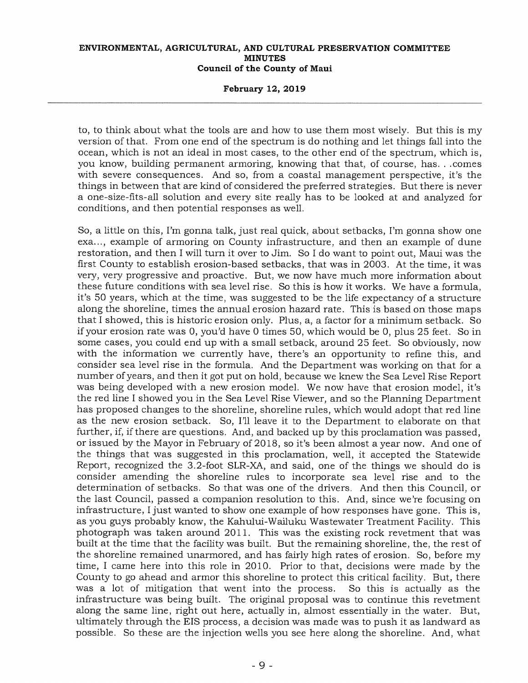### **February 12, 2019**

to, to think about what the tools are and how to use them most wisely. But this is my version of that. From one end of the spectrum is do nothing and let things fall into the ocean, which is not an ideal in most cases, to the other end of the spectrum, which is, you know, building permanent armoring, knowing that that, of course, has...comes with severe consequences. And so, from a coastal management perspective, it's the things in between that are kind of considered the preferred strategies. But there is never a one-size-fits-all solution and every site really has to be looked at and analyzed for conditions, and then potential responses as well.

So, a little on this, I'm gonna talk, just real quick, about setbacks, I'm gonna show one exa..., example of armoring on County infrastructure, and then an example of dune restoration, and then I will turn it over to Jim. So I do want to point out, Maui was the first County to establish erosion-based setbacks, that was in 2003. At the time, it was very, very progressive and proactive. But, we now have much more information about these future conditions with sea level rise. So this is how it works. We have a formula, it's 50 years, which at the time, was suggested to be the life expectancy of a structure along the shoreline, times the annual erosion hazard rate. This is based on those maps that I showed, this is historic erosion only. Plus, a, a factor for a minimum setback. So if your erosion rate was 0, you'd have 0 times 50, which would be 0, plus 25 feet. So in some cases, you could end up with a small setback, around 25 feet. So obviously, now with the information we currently have, there's an opportunity to refine this, and consider sea level rise in the formula. And the Department was working on that for a number of years, and then it got put on hold, because we knew the Sea Level Rise Report was being developed with a new erosion model. We now have that erosion model, it's the red line I showed you in the Sea Level Rise Viewer, and so the Planning Department has proposed changes to the shoreline, shoreline rules, which would adopt that red line as the new erosion setback. So, I'll leave it to the Department to elaborate on that further, if, if there are questions. And, and backed up by this proclamation was passed, or issued by the Mayor in February of 2018, so it's been almost a year now. And one of the things that was suggested in this proclamation, well, it accepted the Statewide Report, recognized the 3.2-foot SLR-XA, and said, one of the things we should do is consider amending the shoreline rules to incorporate sea level rise and to the determination of setbacks. So that was one of the drivers. And then this Council, or the last Council, passed a companion resolution to this. And, since we're focusing on infrastructure, I just wanted to show one example of how responses have gone. This is, as you guys probably know, the Kahului-Wailuku Wastewater Treatment Facility. This photograph was taken around 2011. This was the existing rock revetment that was built at the time that the facility was built. But the remaining shoreline, the, the rest of the shoreline remained unarmored, and has fairly high rates of erosion. So, before my time, I came here into this role in 2010. Prior to that, decisions were made by the County to go ahead and armor this shoreline to protect this critical facility. But, there was a lot of mitigation that went into the process. So this is actually as the infrastructure was being built. The original proposal was to continue this revetment along the same line, right out here, actually in, almost essentially in the water. But, ultimately through the EIS process, a decision was made was to push it as landward as possible. So these are the injection wells you see here along the shoreline. And, what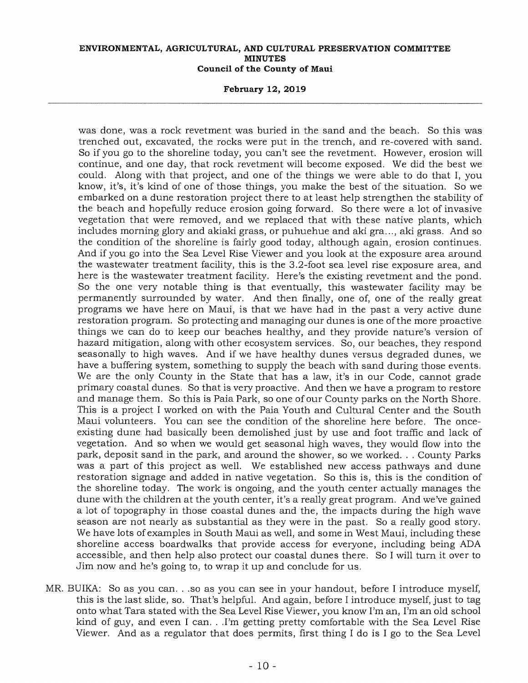### **February 12, 2019**

was done, was a rock revetment was buried in the sand and the beach. So this was trenched out, excavated, the rocks were put in the trench, and re-covered with sand. So if you go to the shoreline today, you can't see the revetment. However, erosion will continue, and one day, that rock revetment will become exposed. We did the best we could. Along with that project, and one of the things we were able to do that I, you know, it's, it's kind of one of those things, you make the best of the situation. So we embarked on a dune restoration project there to at least help strengthen the stability of the beach and hopefully reduce erosion going forward. So there were a lot of invasive vegetation that were removed, and we replaced that with these native plants, which includes morning glory and akiaki grass, or puhuehue and aki gra..., aki grass. And so the condition of the shoreline is fairly good today, although again, erosion continues. And if you go into the Sea Level Rise Viewer and you look at the exposure area around the wastewater treatment facility, this is the 3.2-foot sea level rise exposure area, and here is the wastewater treatment facility. Here's the existing revetment and the pond. So the one very notable thing is that eventually, this wastewater facility may be permanently surrounded by water. And then finally, one of, one of the really great programs we have here on Maui, is that we have had in the past a very active dune restoration program. So protecting and managing our dunes is one of the more proactive things we can do to keep our beaches healthy, and they provide nature's version of hazard mitigation, along with other ecosystem services. So, our beaches, they respond seasonally to high waves. And if we have healthy dunes versus degraded dunes, we have a buffering system, something to supply the beach with sand during those events. We are the only County in the State that has a law, it's in our Code, cannot grade primary coastal dunes. So that is very proactive. And then we have a program to restore and manage them. So this is Paia Park, so one of our County parks on the North Shore. This is a project I worked on with the Paia Youth and Cultural Center and the South Maui volunteers. You can see the condition of the shoreline here before. The onceexisting dune had basically been demolished just by use and foot traffic and lack of vegetation. And so when we would get seasonal high waves, they would flow into the park, deposit sand in the park, and around the shower, so we worked. . County Parks was a part of this project as well. We established new access pathways and dune restoration signage and added in native vegetation. So this is, this is the condition of the shoreline today. The work is ongoing, and the youth center actually manages the dune with the children at the youth center, it's a really great program. And we've gained a lot of topography in those coastal dunes and the, the impacts during the high wave season are not nearly as substantial as they were in the past. So a really good story. We have lots of examples in South Maui as well, and some in West Maui, including these shoreline access boardwalks that provide access for everyone, including being ADA accessible, and then help also protect our coastal dunes there. So I will turn it over to Jim now and he's going to, to wrap it up and conclude for us.

MR. BUIKA: So as you can. . .so as you can see in your handout, before I introduce myself, this is the last slide, so. That's helpful. And again, before I introduce myself, just to tag onto what Tara stated with the Sea Level Rise Viewer, you know I'm an, I'm an old school kind of guy, and even I can. . .I'm getting pretty comfortable with the Sea Level Rise Viewer. And as a regulator that does permits, first thing I do is I go to the Sea Level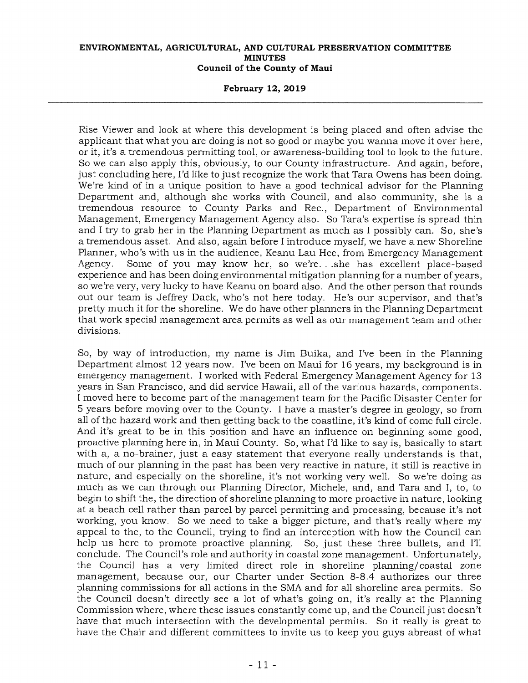### **February 12, 2019**

Rise Viewer and look at where this development is being placed and often advise the applicant that what you are doing is not so good or maybe you wanna move it over here, or it, it's a tremendous permitting tool, or awareness-building tool to look to the future. So we can also apply this, obviously, to our County infrastructure. And again, before, just concluding here, I'd like to just recognize the work that Tara Owens has been doing. We're kind of in a unique position to have a good technical advisor for the Planning Department and, although she works with Council, and also community, she is a tremendous resource to County Parks and Rec., Department of Environmental Management, Emergency Management Agency also. So Tara's expertise is spread thin and I try to grab her in the Planning Department as much as I possibly can. So, she's a tremendous asset. And also, again before I introduce myself, we have a new Shoreline Planner, who's with us in the audience, Keanu Lau Hee, from Emergency Management Agency. Some of you may know her, so we're. . .she has excellent place-based experience and has been doing environmental mitigation planning for a number of years, so we're very, very lucky to have Keanu on board also. And the other person that rounds out our team is Jeffrey Dack, who's not here today. He's our supervisor, and that's pretty much it for the shoreline. We do have other planners in the Planning Department that work special management area permits as well as our management team and other divisions.

So, by way of introduction, my name is Jim Buika, and I've been in the Planning Department almost 12 years now. I've been on Maui for 16 years, my background is in emergency management. I worked with Federal Emergency Management Agency for 13 years in San Francisco, and did service Hawaii, all of the various hazards, components. I moved here to become part of the management team for the Pacific Disaster Center for 5 years before moving over to the County. I have a master's degree in geology, so from all of the hazard work and then getting back to the coastline, it's kind of come full circle. And it's great to be in this position and have an influence on beginning some good, proactive planning here in, in Maui County. So, what I'd like to say is, basically to start with a, a no-brainer, just a easy statement that everyone really understands is that, much of our planning in the past has been very reactive in nature, it still is reactive in nature, and especially on the shoreline, it's not working very well. So we're doing as much as we can through our Planning Director, Michele, and, and Tara and I, to, to begin to shift the, the direction of shoreline planning to more proactive in nature, looking at a beach cell rather than parcel by parcel permitting and processing, because it's not working, you know. So we need to take a bigger picture, and that's really where my appeal to the, to the Council, trying to find an interception with how the Council can help us here to promote proactive planning. So, just these three bullets, and I'll conclude. The Council's role and authority in coastal zone management. Unfortunately, the Council has a very limited direct role in shoreline planning/coastal zone management, because our, our Charter under Section 8-8.4 authorizes our three planning commissions for all actions in the SMA and for all shoreline area permits. So the Council doesn't directly see a lot of what's going on, it's really at the Planning Commission where, where these issues constantly come up, and the Council just doesn't have that much intersection with the developmental permits. So it really is great to have the Chair and different committees to invite us to keep you guys abreast of what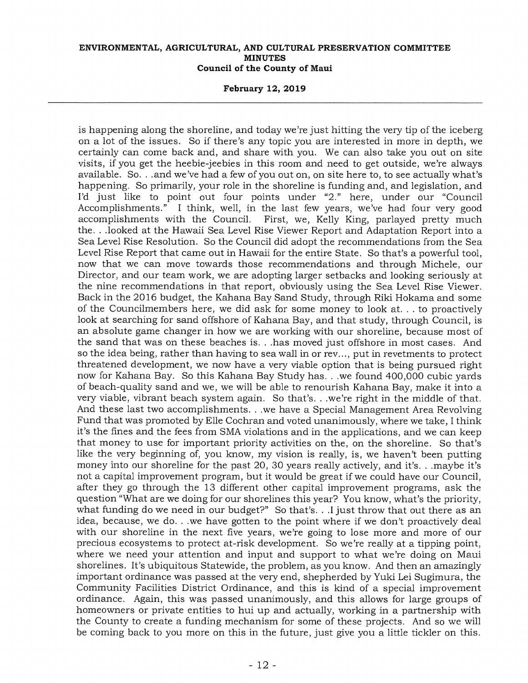**February 12, 2019** 

is happening along the shoreline, and today we're just hitting the very tip of the iceberg on a lot of the issues. So if there's any topic you are interested in more in depth, we certainly can come back and, and share with you. We can also take you out on site visits, if you get the heebie-jeebies in this room and need to get outside, we're always available. So. . .and we've had a few of you out on, on site here to, to see actually what's happening. So primarily, your role in the shoreline is funding and, and legislation, and I'd just like to point out four points under "2." here, under our "Council Accomplishments." I think, well, in the last few years, we've had four very good<br>accomplishments with the Council. First, we, Kelly King, parlayed pretty much First, we, Kelly King, parlayed pretty much the. . .looked at the Hawaii Sea Level Rise Viewer Report and Adaptation Report into a Sea Level Rise Resolution. So the Council did adopt the recommendations from the Sea Level Rise Report that came out in Hawaii for the entire State. So that's a powerful tool, now that we can move towards those recommendations and through Michele, our Director, and our team work, we are adopting larger setbacks and looking seriously at the nine recommendations in that report, obviously using the Sea Level Rise Viewer. Back in the 2016 budget, the Kahana Bay Sand Study, through Riki Hokama and some of the Councilmembers here, we did ask for some money to look at. . . to proactively look at searching for sand offshore of Kahana Bay, and that study, through Council, is an absolute game changer in how we are working with our shoreline, because most of the sand that was on these beaches is. . .has moved just offshore in most cases. And so the idea being, rather than having to sea wall in or rev..., put in revetments to protect threatened development, we now have a very viable option that is being pursued right now for Kahana Bay. So this Kahana Bay Study has. . .we found 400,000 cubic yards of beach-quality sand and we, we will be able to renourish Kahana Bay, make it into a very viable, vibrant beach system again. So that's. . .we're right in the middle of that. And these last two accomplishments. . .we have a Special Management Area Revolving Fund that was promoted by Elle Cochran and voted unanimously, where we take, I think it's the fines and the fees from SMA violations and in the applications, and we can keep that money to use for important priority activities on the, on the shoreline. So that's like the very beginning of, you know, my vision is really, is, we haven't been putting money into our shoreline for the past 20, 30 years really actively, and it's. . .maybe it's not a capital improvement program, but it would be great if we could have our Council, after they go through the 13 different other capital improvement programs, ask the question "What are we doing for our shorelines this year? You know, what's the priority, what funding do we need in our budget?" So that's. . .I just throw that out there as an idea, because, we do. . .we have gotten to the point where if we don't proactively deal with our shoreline in the next five years, we're going to lose more and more of our precious ecosystems to protect at-risk development. So we're really at a tipping point, where we need your attention and input and support to what we're doing on Maui shorelines. It's ubiquitous Statewide, the problem, as you know. And then an amazingly important ordinance was passed at the very end, shepherded by Yuki Lei Sugimura, the Community Facilities District Ordinance, and this is kind of a special improvement ordinance. Again, this was passed unanimously, and this allows for large groups of homeowners or private entities to hui up and actually, working in a partnership with the County to create a funding mechanism for some of these projects. And so we will be coming back to you more on this in the future, just give you a little tickler on this.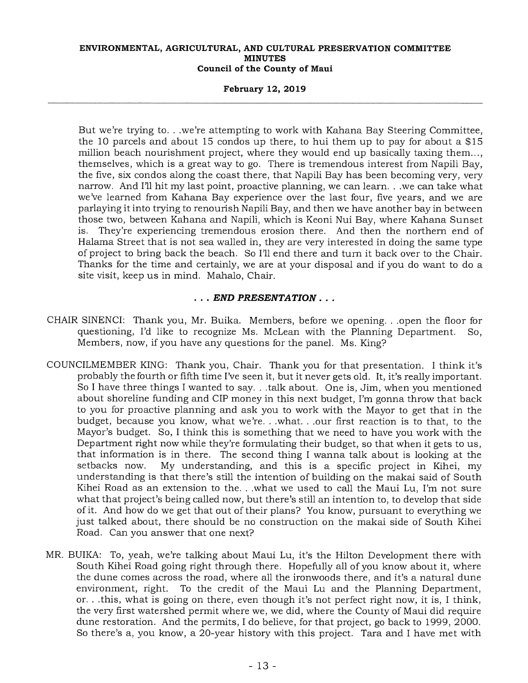### **February 12, 2019**

But we're trying to. . .we're attempting to work with Kahana Bay Steering Committee, the 10 parcels and about 15 condos up there, to hui them up to pay for about a \$15 million beach nourishment project, where they would end up basically taxing them..., themselves, which is a great way to go. There is tremendous interest from Napili Bay, the five, six condos along the coast there, that Napili Bay has been becoming very, very narrow. And I'll hit my last point, proactive planning, we can learn. . .we can take what we've learned from Kahana Bay experience over the last four, five years, and we are parlaying it into trying to renourish Napili Bay, and then we have another bay in between those two, between Kahana and Napili, which is Keoni Nui Bay, where Kahana Sunset is. They're experiencing tremendous erosion there. And then the northern end of Halama Street that is not sea walled in, they are very interested in doing the same type of project to bring back the beach. So I'll end there and turn it back over to the Chair. Thanks for the time and certainly, we are at your disposal and if you do want to do a site visit, keep us in mind. Mahalo, Chair.

# *. . . END PRESENTATION . . .*

- CHAIR SINENCI: Thank you, Mr. Buika. Members, before we opening. . .open the floor for questioning, I'd like to recognize Ms. McLean with the Planning Department. So, Members, now, if you have any questions for the panel. Ms. King?
- COUNCILMEMBER KING: Thank you, Chair. Thank you for that presentation. I think it's probably the fourth or fifth time I've seen it, but it never gets old. It, it's really important. So I have three things I wanted to say. . .talk about. One is, Jim, when you mentioned about shoreline funding and CIP money in this next budget, I'm gonna throw that back to you for proactive planning and ask you to work with the Mayor to get that in the budget, because you know, what we're. . .what. . .our first reaction is to that, to the Mayor's budget. So, I think this is something that we need to have you work with the Department right now while they're formulating their budget, so that when it gets to us, that information is in there. The second thing I wanna talk about is looking at the setbacks now. My understanding, and this is a specific project in Kihei. my My understanding, and this is a specific project in Kihei, my understanding is that there's still the intention of building on the makai said of South Kihei Road as an extension to the. . .what we used to call the Maui Lu, I'm not sure what that project's being called now, but there's still an intention to, to develop that side of it. And how do we get that out of their plans? You know, pursuant to everything we just talked about, there should be no construction on the makai side of South Kihei Road. Can you answer that one next?
- MR. BUIKA: To, yeah, we're talking about Maui Lu, it's the Hilton Development there with South Kihei Road going right through there. Hopefully all of you know about it, where the dune comes across the road, where all the ironwoods there, and it's a natural dune environment, right. To the credit of the Maui Lu and the Planning Department, or. . .this, what is going on there, even though it's not perfect right now, it is, I think, the very first watershed permit where we, we did, where the County of Maui did require dune restoration. And the permits, I do believe, for that project, go back to 1999, 2000. So there's a, you know, a 20-year history with this project. Tara and I have met with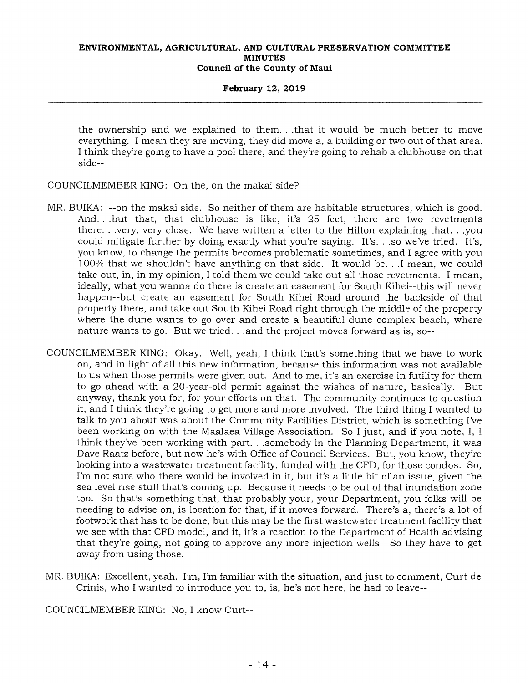### **February 12, 2019**

the ownership and we explained to them. . .that it would be much better to move everything. I mean they are moving, they did move a, a building or two out of that area. I think they're going to have a pool there, and they're going to rehab a clubhouse on that side--

COUNCILMEMBER KING: On the, on the makai side?

- MR. BUIKA: --on the makai side. So neither of them are habitable structures, which is good. And. . .but that, that clubhouse is like, it's 25 feet, there are two revetments there. . .very, very close. We have written a letter to the Hilton explaining that. . .you could mitigate further by doing exactly what you're saying. It's. . .so we've tried. It's, you know, to change the permits becomes problematic sometimes, and I agree with you 100% that we shouldn't have anything on that side. It would be. ..I mean, we could take out, in, in my opinion, I told them we could take out all those revetments. I mean, ideally, what you wanna do there is create an easement for South Kihei--this will never happen--but create an easement for South Kihei Road around the backside of that property there, and take out South Kihei Road right through the middle of the property where the dune wants to go over and create a beautiful dune complex beach, where nature wants to go. But we tried. . .and the project moves forward as is, so--
- COUNCILMEMBER KING: Okay. Well, yeah, I think that's something that we have to work on, and in light of all this new information, because this information was not available to us when those permits were given out. And to me, it's an exercise in futility for them to go ahead with a 20-year-old permit against the wishes of nature, basically. But anyway, thank you for, for your efforts on that. The community continues to question it, and I think they're going to get more and more involved. The third thing I wanted to talk to you about was about the Community Facilities District, which is something I've been working on with the Maalaea Village Association. So I just, and if you note, I, I think they've been working with part. . .somebody in the Planning Department, it was Dave Raatz before, but now he's with Office of Council Services. But, you know, they're looking into a wastewater treatment facility, funded with the CFD, for those condos. So, I'm not sure who there would be involved in it, but it's a little bit of an issue, given the sea level rise stuff that's coming up. Because it needs to be out of that inundation zone too. So that's something that, that probably your, your Department, you folks will be needing to advise on, is location for that, if it moves forward. There's a, there's a lot of footwork that has to be done, but this may be the first wastewater treatment facility that we see with that CFD model, and it, it's a reaction to the Department of Health advising that they're going, not going to approve any more injection wells. So they have to get away from using those.
- MR. BUIKA: Excellent, yeah. I'm, I'm familiar with the situation, and just to comment, Curt de Crinis, who I wanted to introduce you to, is, he's not here, he had to leave--

COUNCILMEMBER KING: No, I know Curt--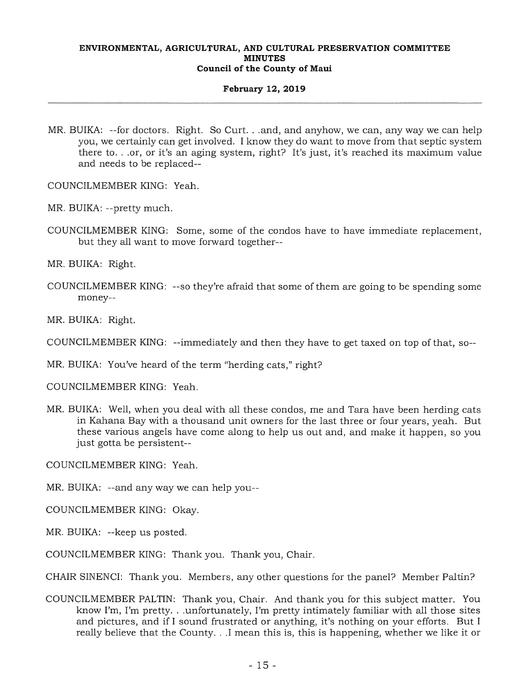### **February 12, 2019**

- MR. BUIKA: --for doctors. Right. So Curt. . .and, and anyhow, we can, any way we can help you, we certainly can get involved. I know they do want to move from that septic system there to. . .or, or it's an aging system, right? It's just, it's reached its maximum value and needs to be replaced--
- COUNCILMEMBER KING: Yeah.
- MR. BUIKA: --pretty much.
- COUNCILMEMBER KING: Some, some of the condos have to have immediate replacement, but they all want to move forward together--

MR. BUIKA: Right.

COUNCILMEMBER KING: --so they're afraid that some of them are going to be spending some money--

MR. BUIKA: Right.

COUNCILMEMBER KING: --immediately and then they have to get taxed on top of that, so--

MR. BUIKA: You've heard of the term "herding cats," right?

COUNCILMEMBER KING: Yeah.

MR. BUIKA: Well, when you deal with all these condos, me and Tara have been herding cats in Kahana Bay with a thousand unit owners for the last three or four years, yeah. But these various angels have come along to help us out and, and make it happen, so you just gotta be persistent--

COUNCILMEMBER KING: Yeah.

MR. BUIKA: --and any way we can help you--

COUNCILMEMBER KING: Okay.

MR. BUIKA: --keep us posted.

COUNCILMEMBER KING: Thank you. Thank you, Chair.

CHAIR SINENCI: Thank you. Members, any other questions for the panel? Member Paltin?

COUNCILMEMBER PALTIN: Thank you, Chair. And thank you for this subject matter. You know I'm, I'm pretty. . .unfortunately, I'm pretty intimately familiar with all those sites and pictures, and if I sound frustrated or anything, it's nothing on your efforts. But I really believe that the County. . .I mean this is, this is happening, whether we like it or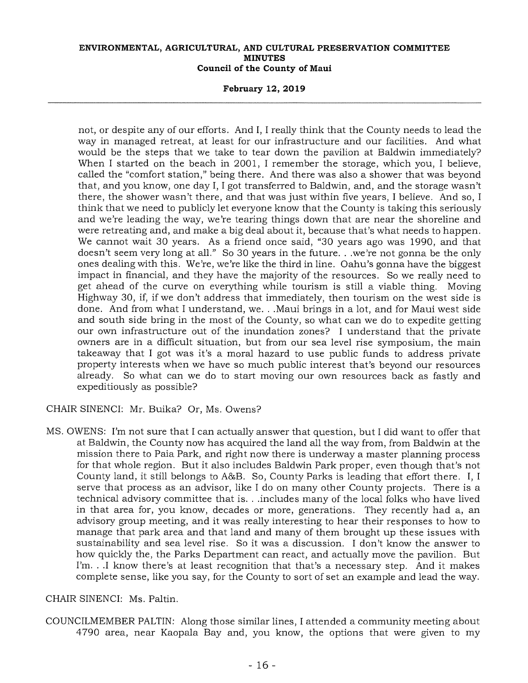### **February 12, 2019**

not, or despite any of our efforts. And I, I really think that the County needs to lead the way in managed retreat, at least for our infrastructure and our facilities. And what would be the steps that we take to tear down the pavilion at Baldwin immediately? When I started on the beach in 2001, I remember the storage, which you, I believe, called the "comfort station," being there. And there was also a shower that was beyond that, and you know, one day I, I got transferred to Baldwin, and, and the storage wasn't there, the shower wasn't there, and that was just within five years, I believe. And so, I think that we need to publicly let everyone know that the County is taking this seriously and we're leading the way, we're tearing things down that are near the shoreline and were retreating and, and make a big deal about it, because that's what needs to happen. We cannot wait 30 years. As a friend once said, "30 years ago was 1990, and that doesn't seem very long at all." So 30 years in the future. . .we're not gonna be the only ones dealing with this. We're, we're like the third in line. Oahu's gonna have the biggest impact in financial, and they have the majority of the resources. So we really need to get ahead of the curve on everything while tourism is still a viable thing. Moving Highway 30, if, if we don't address that immediately, then tourism on the west side is done. And from what I understand, we. . .Maui brings in a lot, and for Maui west side and south side bring in the most of the County, so what can we do to expedite getting our own infrastructure out of the inundation zones? I understand that the private owners are in a difficult situation, but from our sea level rise symposium, the main takeaway that I got was it's a moral hazard to use public funds to address private property interests when we have so much public interest that's beyond our resources already. So what can we do to start moving our own resources back as fastly and expeditiously as possible?

CHAIR SINENCI: Mr. Buika? Or, Ms. Owens?

MS. OWENS: I'm not sure that I can actually answer that question, but I did want to offer that at Baldwin, the County now has acquired the land all the way from, from Baldwin at the mission there to Paia Park, and right now there is underway a master planning process for that whole region. But it also includes Baldwin Park proper, even though that's not County land, it still belongs to A&B. So, County Parks is leading that effort there. I, I serve that process as an advisor, like I do on many other County projects. There is a technical advisory committee that is. . .includes many of the local folks who have lived in that area for, you know, decades or more, generations. They recently had a, an advisory group meeting, and it was really interesting to hear their responses to how to manage that park area and that land and many of them brought up these issues with sustainability and sea level rise. So it was a discussion. I don't know the answer to how quickly the, the Parks Department can react, and actually move the pavilion. But I'm. . .I know there's at least recognition that that's a necessary step. And it makes complete sense, like you say, for the County to sort of set an example and lead the way.

### CHAIR SINENCI: Ms. Paltin.

COUNCILMEMBER PALTIN: Along those similar lines, I attended a community meeting about 4790 area, near Kaopala Bay and, you know, the options that were given to my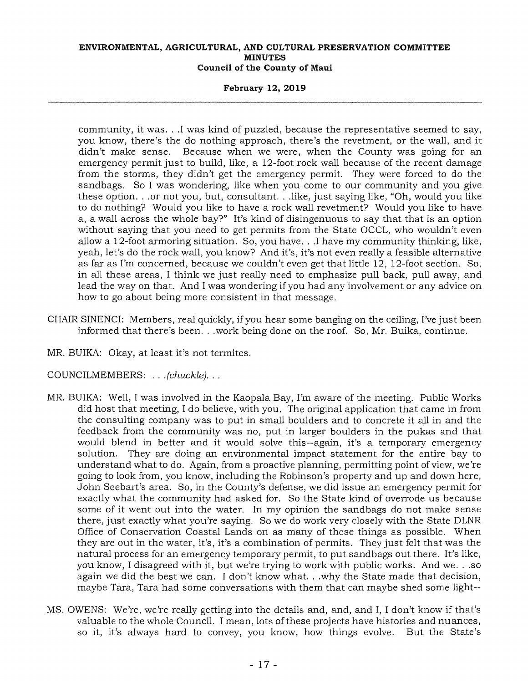### **February 12, 2019**

community, it was. . .I was kind of puzzled, because the representative seemed to say, you know, there's the do nothing approach, there's the revetment, or the wall, and it didn't make sense. Because when we were, when the County was going for an emergency permit just to build, like, a 12-foot rock wall because of the recent damage from the storms, they didn't get the emergency permit. They were forced to do the sandbags. So I was wondering, like when you come to our community and you give these option. . .or not you, but, consultant. . like, just saying like, "Oh, would you like to do nothing? Would you like to have a rock wall revetment? Would you like to have a, a wall across the whole bay?" It's kind of disingenuous to say that that is an option without saying that you need to get permits from the State OCCL, who wouldn't even allow a 12-foot armoring situation. So, you have. . .I have my community thinking, like, yeah, let's do the rock wall, you know? And it's, it's not even really a feasible alternative as far as I'm concerned, because we couldn't even get that little 12, 12-foot section. So, in all these areas, I think we just really need to emphasize pull back, pull away, and lead the way on that. And I was wondering if you had any involvement or any advice on how to go about being more consistent in that message.

- CHAIR SINENCI: Members, real quickly, if you hear some banging on the ceiling, I've just been informed that there's been. . .work being done on the roof. So, Mr. Buika, continue.
- MR. BUIKA: Okay, at least it's not termites.

COUNCILMEMBERS: . . *.(chuckle).* 

- MR. BUIKA: Well, I was involved in the Kaopala Bay, I'm aware of the meeting. Public Works did host that meeting, I do believe, with you. The original application that came in from the consulting company was to put in small boulders and to concrete it all in and the feedback from the community was no, put in larger boulders in the pukas and that would blend in better and it would solve this--again, it's a temporary emergency solution. They are doing an environmental impact statement for the entire bay to understand what to do. Again, from a proactive planning, permitting point of view, we're going to look from, you know, including the Robinson's property and up and down here, John Seebart's area. So, in the County's defense, we did issue an emergency permit for exactly what the community had asked for. So the State kind of overrode us because some of it went out into the water. In my opinion the sandbags do not make sense there, just exactly what you're saying. So we do work very closely with the State DLNR Office of Conservation Coastal Lands on as many of these things as possible. When they are out in the water, it's, it's a combination of permits. They just felt that was the natural process for an emergency temporary permit, to put sandbags out there. It's like, you know, I disagreed with it, but we're trying to work with public works. And we. . .so again we did the best we can. I don't know what. . .why the State made that decision, maybe Tara, Tara had some conversations with them that can maybe shed some light--
- MS. OWENS: We're, we're really getting into the details and, and, and I, I don't know if that's valuable to the whole Council. I mean, lots of these projects have histories and nuances, so it, it's always hard to convey, you know, how things evolve. But the State's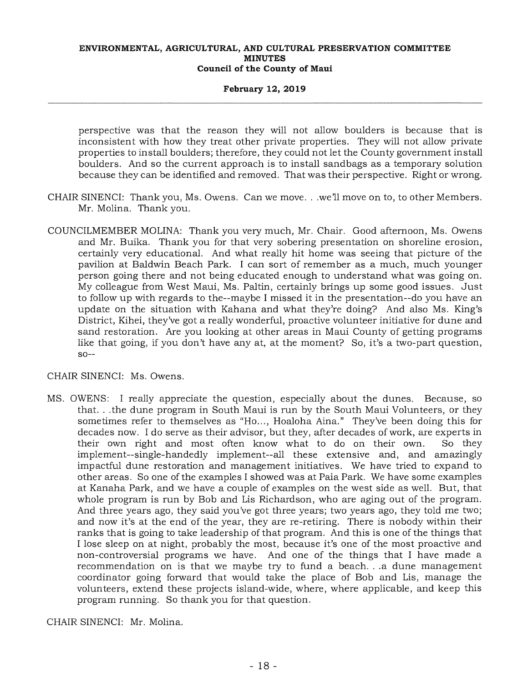### **February 12, 2019**

perspective was that the reason they will not allow boulders is because that is inconsistent with how they treat other private properties. They will not allow private properties to install boulders; therefore, they could not let the County government install boulders. And so the current approach is to install sandbags as a temporary solution because they can be identified and removed. That was their perspective. Right or wrong.

- CHAIR SINENCI: Thank you, Ms. Owens. Can we move. . .we'll move on to, to other Members. Mr. Molina. Thank you.
- COUNCILMEMBER MOLINA: Thank you very much, Mr. Chair. Good afternoon, Ms. Owens and Mr. Buika. Thank you for that very sobering presentation on shoreline erosion, certainly very educational. And what really hit home was seeing that picture of the pavilion at Baldwin Beach Park. I can sort of remember as a much, much younger person going there and not being educated enough to understand what was going on. My colleague from West Maui, Ms. Paltin, certainly brings up some good issues. Just to follow up with regards to the--maybe I missed it in the presentation--do you have an update on the situation with Kahana and what they're doing? And also Ms. King's District, Kihei, they've got a really wonderful, proactive volunteer initiative for dune and sand restoration. Are you looking at other areas in Maui County of getting programs like that going, if you don't have any at, at the moment? So, it's a two-part question,  $SO--$

CHAIR SINENCI: Ms. Owens.

MS. OWENS: I really appreciate the question, especially about the dunes. Because, so that. . .the dune program in South Maui is run by the South Maui Volunteers, or they sometimes refer to themselves as "Ho..., Hoaloha Aina." They've been doing this for decades now. I do serve as their advisor, but they, after decades of work, are experts in their own right and most often know what to do on their own. So they implement--single-handedly implement--all these extensive and, and amazingly impactful dune restoration and management initiatives. We have tried to expand to other areas. So one of the examples I showed was at Paia Park. We have some examples at Kanaha Park, and we have a couple of examples on the west side as well. But, that whole program is run by Bob and Lis Richardson, who are aging out of the program. And three years ago, they said you've got three years; two years ago, they told me two; and now it's at the end of the year, they are re-retiring. There is nobody within their ranks that is going to take leadership of that program. And this is one of the things that I lose sleep on at night, probably the most, because it's one of the most proactive and non-controversial programs we have. And one of the things that I have made a recommendation on is that we maybe try to fund a beach. . .a dune management coordinator going forward that would take the place of Bob and Lis, manage the volunteers, extend these projects island-wide, where, where applicable, and keep this program running. So thank you for that question.

CHAIR SINENCI: Mr. Molina.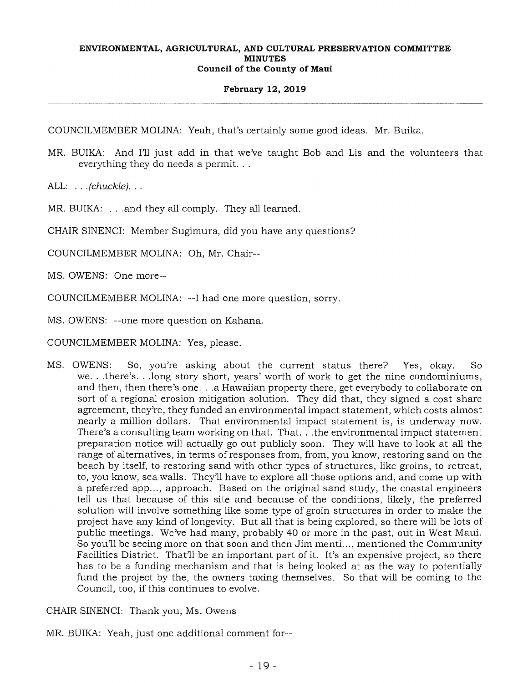### **February 12, 2019**

COUNCILMEMBER MOLINA: Yeah, that's certainly some good ideas. Mr. Buika.

MR. BUIKA: And I'll just add in that we've taught Bob and Lis and the volunteers that everything they do needs a permit. . .

ALL: . . *. (chuckle). .* 

MR. BUIKA: . . . and they all comply. They all learned.

CHAIR SINENCI: Member Sugimura, did you have any questions?

COUNCILMEMBER MOLINA: Oh, Mr. Chair--

MS. OWENS: One more--

COUNCILMEMBER MOLINA: --I had one more question, sorry.

MS. OWENS: --one more question on Kahana.

COUNCILMEMBER MOLINA: Yes, please.

MS. OWENS: So, you're asking about the current status there? Yes, okay. So we. . .there's. . .long story short, years' worth of work to get the nine condominiums, and then, then there's one. . .a Hawaiian property there, get everybody to collaborate on sort of a regional erosion mitigation solution. They did that, they signed a cost share agreement, they're, they funded an environmental impact statement, which costs almost nearly a million dollars. That environmental impact statement is, is underway now. There's a consulting team working on that. That. . .the environmental impact statement preparation notice will actually go out publicly soon. They will have to look at all the range of alternatives, in terms of responses from, from, you know, restoring sand on the beach by itself, to restoring sand with other types of structures, like groins, to retreat, to, you know, sea walls. They'll have to explore all those options and, and come up with a preferred app..., approach. Based on the original sand study, the coastal engineers tell us that because of this site and because of the conditions, likely, the preferred solution will involve something like some type of groin structures in order to make the project have any kind of longevity. But all that is being explored, so there will be lots of public meetings. We've had many, probably 40 or more in the past, out in West Maui. So you'll be seeing more on that soon and then Jim menti..., mentioned the Community Facilities District. That'll be an important part of it. It's an expensive project, so there has to be a funding mechanism and that is being looked at as the way to potentially fund the project by the, the owners taxing themselves. So that will be coming to the Council, too, if this continues to evolve.

CHAIR SINENCI: Thank you, Ms. Owens

MR. BUIKA: Yeah, just one additional comment for--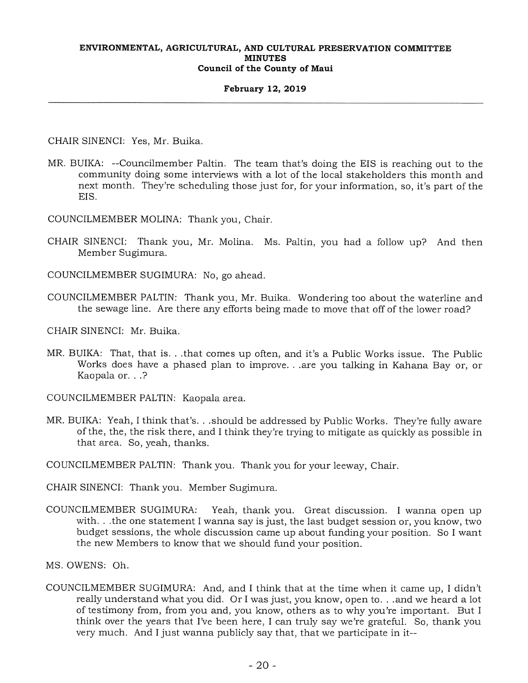### **February 12, 2019**

CHAIR SINENCI: Yes, Mr. Buika.

- MR. BUIKA: --Councilmember Paltin. The team that's doing the EIS is reaching out to the community doing some interviews with a lot of the local stakeholders this month and next month. They're scheduling those just for, for your information, so, it's part of the EIS.
- COUNCILMEMBER MOLINA: Thank you, Chair.
- CHAIR SINENCI: Thank you, Mr. Molina. Ms. Paltin, you had a follow up? And then Member Sugimura.
- COUNCILMEMBER SUGIMURA: No, go ahead.
- COUNCILMEMBER PALTIN: Thank you, Mr. Buika. Wondering too about the waterline and the sewage line. Are there any efforts being made to move that off of the lower road?
- CHAIR SINENCI: Mr. Buika.
- MR. BUIKA: That, that is. . .that comes up often, and it's a Public Works issue. The Public Works does have a phased plan to improve. . .are you talking in Kahana Bay or, or Kaopala or. . .?

COUNCILMEMBER PALTIN: Kaopala area.

MR. BUIKA: Yeah, I think that's. . .should be addressed by Public Works. They're fully aware of the, the, the risk there, and I think they're trying to mitigate as quickly as possible in that area. So, yeah, thanks.

COUNCILMEMBER PALTIN: Thank you. Thank you for your leeway, Chair.

CHAIR SINENCI: Thank you. Member Sugimura.

COUNCILMEMBER SUGIMURA: Yeah, thank you. Great discussion. I wanna open up with. . .the one statement I wanna say is just, the last budget session or, you know, two budget sessions, the whole discussion came up about funding your position. So I want the new Members to know that we should fund your position.

MS. OWENS: Oh.

COUNCILMEMBER SUGIMURA: And, and I think that at the time when it came up, I didn't really understand what you did. Or I was just, you know, open to. . .and we heard a lot of testimony from, from you and, you know, others as to why you're important. But I think over the years that I've been here, I can truly say we're grateful. So, thank you very much. And I just wanna publicly say that, that we participate in it--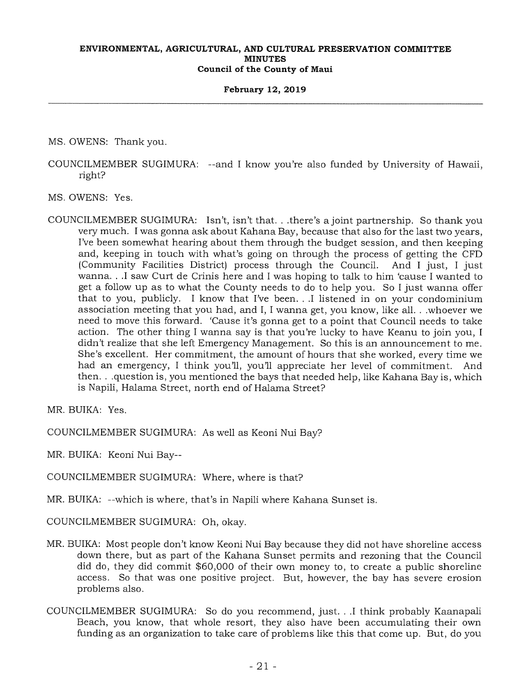### **February 12, 2019**

MS. OWENS: Thank you.

COUNCILMEMBER SUGIMURA: --and I know you're also funded by University of Hawaii, right?

MS. OWENS: Yes.

COUNCILMEMBER SUGIMURA: Isn't, isn't that.. .there's a joint partnership. So thank you very much. I was gonna ask about Kahana Bay, because that also for the last two years, I've been somewhat hearing about them through the budget session, and then keeping and, keeping in touch with what's going on through the process of getting the CFD (Community Facilities District) process through the Council. And I just, I just wanna. . .I saw Curt de Crinis here and I was hoping to talk to him 'cause I wanted to get a follow up as to what the County needs to do to help you. So I just wanna offer that to you, publicly. I know that I've been. . .I listened in on your condominium association meeting that you had, and I, I wanna get, you know, like all. . .whoever we need to move this forward. 'Cause it's gonna get to a point that Council needs to take action. The other thing I wanna say is that you're lucky to have Keanu to join you, I didn't realize that she left Emergency Management. So this is an announcement to me. She's excellent. Her commitment, the amount of hours that she worked, every time we had an emergency, I think you'll, you'll appreciate her level of commitment. And then.. .question is, you mentioned the bays that needed help, like Kahana Bay is, which is Napili, Halama Street, north end of Halama Street?

MR. BUIKA: Yes.

COUNCILMEMBER SUGIMURA: As well as Keoni Nui Bay?

MR. BUIKA: Keoni Nui Bay--

COUNCILMEMBER SUGIMURA: Where, where is that?

MR. BUIKA: --which is where, that's in Napili where Kahana Sunset is.

COUNCILMEMBER SUGIMURA: Oh, okay.

- MR. BUIKA: Most people don't know Keoni Nui Bay because they did not have shoreline access down there, but as part of the Kahana Sunset permits and rezoning that the Council did do, they did commit \$60,000 of their own money to, to create a public shoreline access. So that was one positive project. But, however, the bay has severe erosion problems also.
- COUNCILMEMBER SUGIMURA: So do you recommend, just. . .I think probably Kaanapali Beach, you know, that whole resort, they also have been accumulating their own funding as an organization to take care of problems like this that come up. But, do you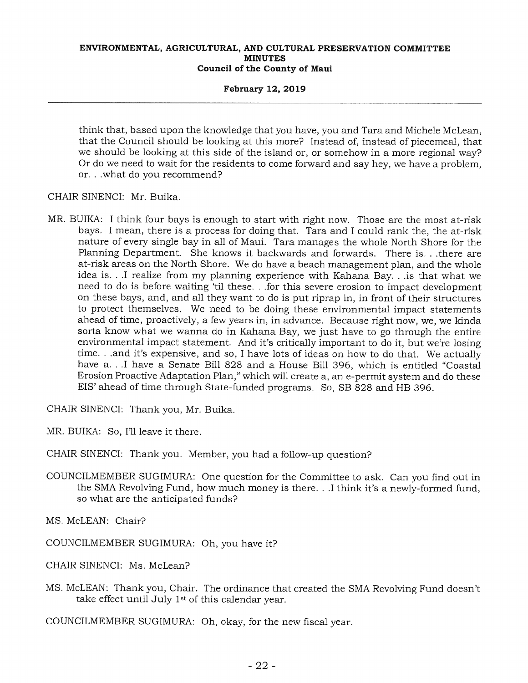### **February 12, 2019**

think that, based upon the knowledge that you have, you and Tara and Michele McLean, that the Council should be looking at this more? Instead of, instead of piecemeal, that we should be looking at this side of the island or, or somehow in a more regional way? Or do we need to wait for the residents to come forward and say hey, we have a problem, or. . .what do you recommend?

CHAIR SINENCI: Mr. Buika.

MR. BUIKA: I think four bays is enough to start with right now. Those are the most at-risk bays. I mean, there is a process for doing that. Tara and I could rank the, the at-risk nature of every single bay in all of Maui. Tara manages the whole North Shore for the Planning Department. She knows it backwards and forwards. There is. . .there are at-risk areas on the North Shore. We do have a beach management plan, and the whole idea is. . .I realize from my planning experience with Kahana Bay. . .is that what we need to do is before waiting 'til these. . .for this severe erosion to impact development on these bays, and, and all they want to do is put riprap in, in front of their structures to protect themselves. We need to be doing these environmental impact statements ahead of time, proactively, a few years in, in advance. Because right now, we, we kinda sorta know what we wanna do in Kahana Bay, we just have to go through the entire environmental impact statement. And it's critically important to do it, but we're losing time. . .and it's expensive, and so, I have lots of ideas on how to do that. We actually have a. . .I have a Senate Bill 828 and a House Bill 396, which is entitled "Coastal Erosion Proactive Adaptation Plan," which will create a, an e-permit system and do these EIS' ahead of time through State-funded programs. So, SB 828 and HB 396.

CHAIR SINENCI: Thank you, Mr. Buika.

MR. BUIKA: So, I'll leave it there.

CHAIR SINENCI: Thank you. Member, you had a follow-up question?

COUNCILMEMBER SUGIMURA: One question for the Committee to ask. Can you find out in the SMA Revolving Fund, how much money is there. . .I think it's a newly-formed fund, so what are the anticipated funds?

MS. McLEAN: Chair?

COUNCILMEMBER SUGIMURA: Oh, you have it?

CHAIR SINENCI: Ms. McLean?

MS. McLEAN: Thank you, Chair. The ordinance that created the SMA Revolving Fund doesn't take effect until July 1st of this calendar year.

COUNCILMEMBER SUGIMURA: Oh, okay, for the new fiscal year.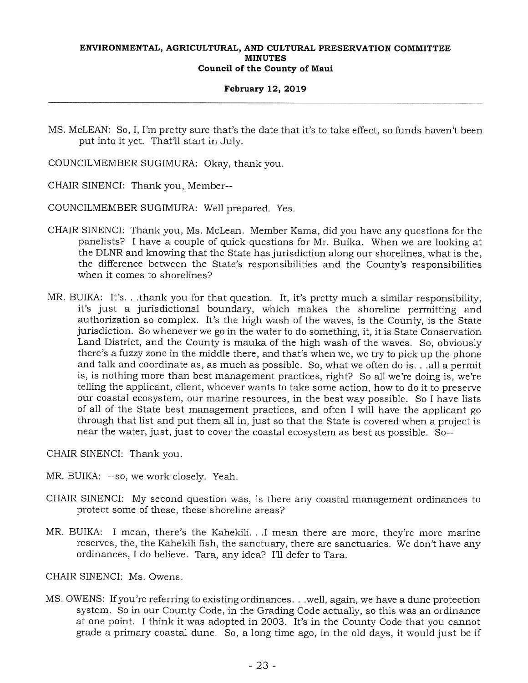### **February 12, 2019**

MS. McLEAN: So, I, I'm pretty sure that's the date that it's to take effect, so funds haven't been put into it yet. That'll start in July.

COUNCILMEMBER SUGIMURA: Okay, thank you.

CHAIR SINENCI: Thank you, Member--

COUNCILMEMBER SUGIMURA: Well prepared. Yes.

- CHAIR SINENCI: Thank you, Ms. McLean. Member Kama, did you have any questions for the panelists? I have a couple of quick questions for Mr. Buika. When we are looking at the DLNR and knowing that the State has jurisdiction along our shorelines, what is the, the difference between the State's responsibilities and the County's responsibilities when it comes to shorelines?
- MR. BUIKA: It's. . .thank you for that question. It, it's pretty much a similar responsibility, it's just a jurisdictional boundary, which makes the shoreline permitting and authorization so complex. It's the high wash of the waves, is the County, is the State jurisdiction. So whenever we go in the water to do something, it, it is State Conservation Land District, and the County is mauka of the high wash of the waves. So, obviously there's a fuzzy zone in the middle there, and that's when we, we try to pick up the phone and talk and coordinate as, as much as possible. So, what we often do is. . .all a permit is, is nothing more than best management practices, right? So all we're doing is, we're telling the applicant, client, whoever wants to take some action, how to do it to preserve our coastal ecosystem, our marine resources, in the best way possible. So I have lists of all of the State best management practices, and often I will have the applicant go through that list and put them all in, just so that the State is covered when a project is near the water, just, just to cover the coastal ecosystem as best as possible. So--

CHAIR SINENCI: Thank you.

- MR. BUIKA: --so, we work closely. Yeah.
- CHAIR SINENCI: My second question was, is there any coastal management ordinances to protect some of these, these shoreline areas?
- MR. BUIKA: I mean, there's the Kahekili. ..I mean there are more, they're more marine reserves, the, the Kahekili fish, the sanctuary, there are sanctuaries. We don't have any ordinances, I do believe. Tara, any idea? I'll defer to Tara.

CHAIR SINENCI: Ms. Owens.

MS. OWENS: If you're referring to existing ordinances. . .well, again, we have a dune protection system. So in our County Code, in the Grading Code actually, so this was an ordinance at one point. I think it was adopted in 2003. It's in the County Code that you cannot grade a primary coastal dune. So, a long time ago, in the old days, it would just be if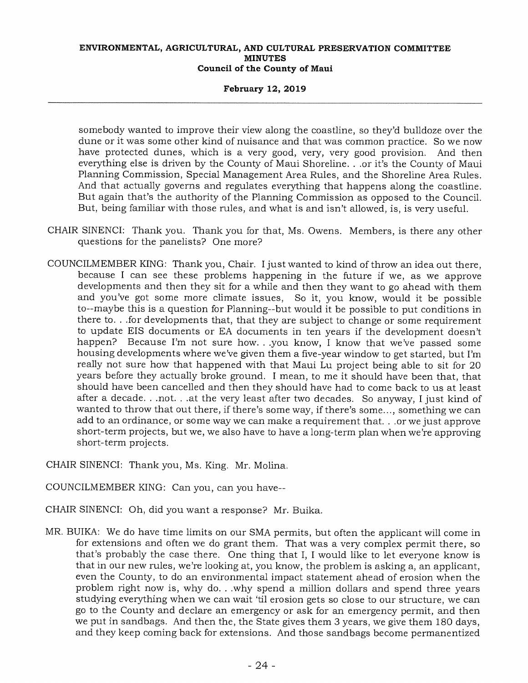### **February 12, 2019**

somebody wanted to improve their view along the coastline, so they'd bulldoze over the dune or it was some other kind of nuisance and that was common practice. So we now have protected dunes, which is a very good, very, very good provision. And then everything else is driven by the County of Maui Shoreline. . .or it's the County of Maui Planning Commission, Special Management Area Rules, and the Shoreline Area Rules. And that actually governs and regulates everything that happens along the coastline. But again that's the authority of the Planning Commission as opposed to the Council. But, being familiar with those rules, and what is and isn't allowed, is, is very useful.

- CHAIR SINENCI: Thank you. Thank you for that, Ms. Owens. Members, is there any other questions for the panelists? One more?
- COUNCILMEMBER KING: Thank you, Chair. I just wanted to kind of throw an idea out there, because I can see these problems happening in the future if we, as we approve developments and then they sit for a while and then they want to go ahead with them and you've got some more climate issues, So it, you know, would it be possible to--maybe this is a question for Planning--but would it be possible to put conditions in there to. . .for developments that, that they are subject to change or some requirement to update EIS documents or EA documents in ten years if the development doesn't happen? Because I'm not sure how. . .you know, I know that we've passed some housing developments where we've given them a five-year window to get started, but I'm really not sure how that happened with that Maui Lu project being able to sit for 20 years before they actually broke ground. I mean, to me it should have been that, that should have been cancelled and then they should have had to come back to us at least after a decade. . .not. . .at the very least after two decades. So anyway, I just kind of wanted to throw that out there, if there's some way, if there's some..., something we can add to an ordinance, or some way we can make a requirement that. . .or we just approve short-term projects, but we, we also have to have a long-term plan when we're approving short-term projects.
- CHAIR SINENCI: Thank you, Ms. King. Mr. Molina.
- COUNCILMEMBER KING: Can you, can you have--
- CHAIR SINENCI: Oh, did you want a response? Mr. Buika.
- MR. BUIKA: We do have time limits on our SMA permits, but often the applicant will come in for extensions and often we do grant them. That was a very complex permit there, so that's probably the case there. One thing that I, I would like to let everyone know is that in our new rules, we're looking at, you know, the problem is asking a, an applicant, even the County, to do an environmental impact statement ahead of erosion when the problem right now is, why do. . .why spend a million dollars and spend three years studying everything when we can wait 'til erosion gets so close to our structure, we can go to the County and declare an emergency or ask for an emergency permit, and then we put in sandbags. And then the, the State gives them 3 years, we give them 180 days, and they keep coming back for extensions. And those sandbags become permanentized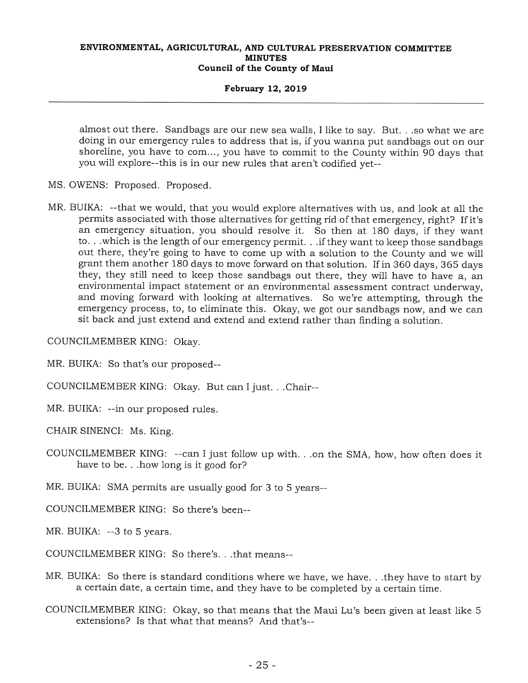### **February 12, 2019**

almost out there. Sandbags are our new sea walls, I like to say. But. . .so what we are doing in our emergency rules to address that is, if you wanna put sandbags out on our shoreline, you have to com..., you have to commit to the County within 90 days that you will explore--this is in our new rules that aren't codified yet--

- MS. OWENS: Proposed. Proposed.
- MR. BUIKA: --that we would, that you would explore alternatives with us, and look at all the permits associated with those alternatives for getting rid of that emergency, right? If it's an emergency situation, you should resolve it. So then at 180 days, if they want to. . .which is the length of our emergency permit. . .if they want to keep those sandbags out there, they're going to have to come up with a solution to the County and we will grant them another 180 days to move forward on that solution. If in 360 days, 365 days they, they still need to keep those sandbags out there, they will have to have a, an environmental impact statement or an environmental assessment contract underway, and moving forward with looking at alternatives. So we're attempting, through the emergency process, to, to eliminate this. Okay, we got our sandbags now, and we can sit back and just extend and extend and extend rather than finding a solution.

COUNCILMEMBER KING: Okay.

MR. BUIKA: So that's our proposed--

COUNCILMEMBER KING: Okay. But can I just.. .Chair--

MR. BUIKA: --in our proposed rules.

CHAIR SINENCI: Ms. King.

COUNCILMEMBER KING: --can I just follow up with.. .on the SMA, how, how often does it have to be... how long is it good for?

MR. BUIKA: SMA permits are usually good for  $3$  to  $5$  years--

COUNCILMEMBER KING: So there's been--

MR. BUIKA: --3 to 5 years.

COUNCILMEMBER KING: So there's. . .that means--

MR. BUIKA: So there is standard conditions where we have, we have. . .they have to start by a certain date, a certain time, and they have to be completed by a certain time.

COUNCILMEMBER KING: Okay, so that means that the Maui Lu's been given at least like 5 extensions? Is that what that means? And that's--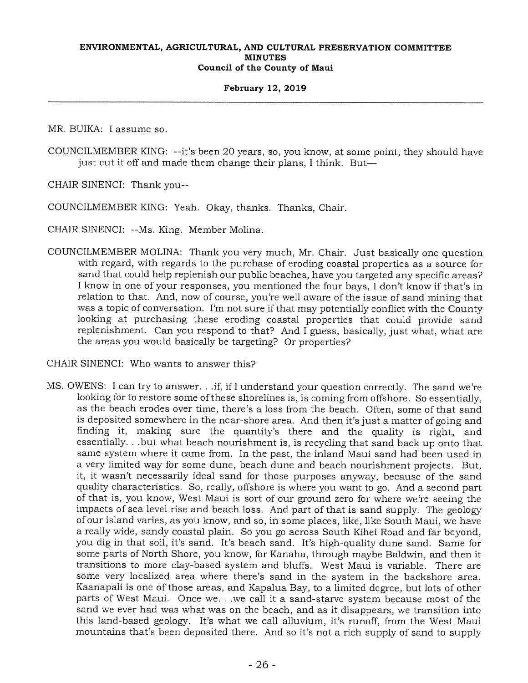### **February 12, 2019**

MR. BUIKA: I assume so.

COUNCILMEMBER KING: --it's been 20 years, so, you know, at some point, they should have just cut it off and made them change their plans, I think. But—

CHAIR SINENCI: Thank you--

COUNCILMEMBER KING: Yeah. Okay, thanks. Thanks, Chair.

CHAIR SINENCI: --Ms. King. Member Molina.

COUNCILMEMBER MOLINA: Thank you very much, Mr. Chair. Just basically one question with regard, with regards to the purchase of eroding coastal properties as a source for sand that could help replenish our public beaches, have you targeted any specific areas? I know in one of your responses, you mentioned the four bays, I don't know if that's in relation to that. And, now of course, you're well aware of the issue of sand mining that was a topic of conversation. I'm not sure if that may potentially conflict with the County looking at purchasing these eroding coastal properties that could provide sand replenishment. Can you respond to that? And I guess, basically, just what, what are the areas you would basically be targeting? Or properties?

CHAIR SINENCI: Who wants to answer this?

MS. OWENS: I can try to answer. . .if, if I understand your question correctly. The sand we're looking for to restore some of these shorelines is, is coming from offshore. So essentially, as the beach erodes over time, there's a loss from the beach. Often, some of that sand is deposited somewhere in the near-shore area. And then it's just a matter of going and finding it, making sure the quantity's there and the quality is right, and essentially. . .but what beach nourishment is, is recycling that sand back up onto that same system where it came from. In the past, the inland Maui sand had been used in a very limited way for some dune, beach dune and beach nourishment projects. But, it, it wasn't necessarily ideal sand for those purposes anyway, because of the sand quality characteristics. So, really, offshore is where you want to go. And a second part of that is, you know, West Maui is sort of our ground zero for where we're seeing the impacts of sea level rise and beach loss. And part of that is sand supply. The geology of our island varies, as you know, and so, in some places, like, like South Maui, we have a really wide, sandy coastal plain. So you go across South Kihei Road and far beyond, you dig in that soil, it's sand. It's beach sand. It's high-quality dune sand. Same for some parts of North Shore, you know, for Kanaha, through maybe Baldwin, and then it transitions to more clay-based system and bluffs. West Maui is variable. There are some very localized area where there's sand in the system in the backshore area. Kaanapali is one of those areas, and Kapalua Bay, to a limited degree, but lots of other parts of West Maui. Once we. . .we call it a sand-starve system because most of the sand we ever had was what was on the beach, and as it disappears, we transition into this land-based geology. It's what we call alluvium, it's runoff, from the West Maui mountains that's been deposited there. And so it's not a rich supply of sand to supply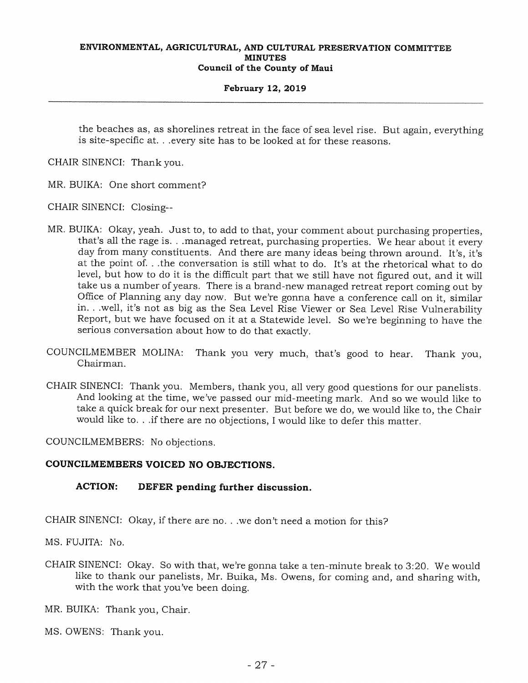### **February 12, 2019**

the beaches as, as shorelines retreat in the face of sea level rise. But again, everything is site-specific at. . .every site has to be looked at for these reasons.

CHAIR SINENCI: Thank you.

MR. BUIKA: One short comment?

CHAIR SINENCI: Closing--

- MR. BUIKA: Okay, yeah. Just to, to add to that, your comment about purchasing properties, that's all the rage is. . .managed retreat, purchasing properties. We hear about it every day from many constituents. And there are many ideas being thrown around. It's, it's at the point of. . .the conversation is still what to do. It's at the rhetorical what to do level, but how to do it is the difficult part that we still have not figured out, and it will take us a number of years. There is a brand-new managed retreat report coming out by Office of Planning any day now. But we're gonna have a conference call on it, similar in. . .well, it's not as big as the Sea Level Rise Viewer or Sea Level Rise Vulnerability Report, but we have focused on it at a Statewide level. So we're beginning to have the serious conversation about how to do that exactly.
- COUNCILMEMBER MOLINA: Thank you very much, that's good to hear. Thank you, Chairman.
- CHAIR SINENCI: Thank you. Members, thank you, all very good questions for our panelists. And looking at the time, we've passed our mid-meeting mark. And so we would like to take a quick break for our next presenter. But before we do, we would like to, the Chair would like to. . if there are no objections, I would like to defer this matter.

COUNCILMEMBERS: No objections.

# **COUNCILMEMBERS VOICED NO OBJECTIONS.**

# **ACTION: DEFER pending further discussion.**

CHAIR SINENCI: Okay, if there are no. . .we don't need a motion for this?

MS. FUJITA: No.

CHAIR SINENCI: Okay. So with that, we're gonna take a ten-minute break to 3:20. We would like to thank our panelists, Mr. Buika, Ms. Owens, for coming and, and sharing with, with the work that you've been doing.

MR. BUIKA: Thank you, Chair.

MS. OWENS: Thank you.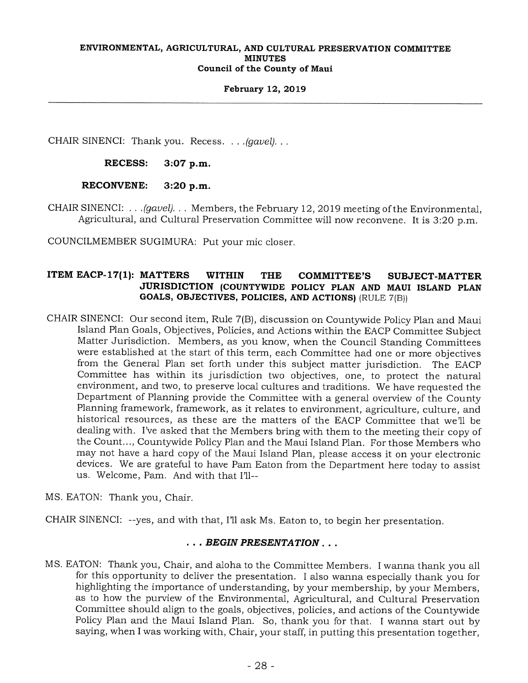### **February 12, 2019**

CHAIR SINENCI: Thank you. Recess. . . *.(gavel). . .* 

**RECESS: 3:07 p.m.** 

**RECONVENE: 3:20 p.m.** 

CHAIR SINENCI: . . *.(gavel). . .* Members, the February 12,2019 meeting of the Environmental, Agricultural, and Cultural Preservation Committee will now reconvene. It is 3:20 p.m.

COUNCILMEMBER SUGIMURA: Put your mic closer.

# **ITEM EACP-17(1): MATTERS WITHIN THE COMMITTEE'S SUBJECT-MATTER JURISDICTION (COUNTYWIDE POLICY PLAN AND MAUI ISLAND PLAN GOALS, OBJECTIVES, POLICIES, AND ACTIONS)** (RULE 7(B))

CHAIR SINENCI: Our second item, Rule 7(B), discussion on Countywide Policy Plan and Maui Island Plan Goals, Objectives, Policies, and Actions within the EACP Committee Subject Matter Jurisdiction. Members, as you know, when the Council Standing Committees were established at the start of this term, each Committee had one or more objectives from the General Plan set forth under this subject matter jurisdiction. The EACP Committee has within its jurisdiction two objectives, one, to protect the natural environment, and two, to preserve local cultures and traditions. We have requested the Department of Planning provide the Committee with a general overview of the County Planning framework, framework, as it relates to environment, agriculture, culture, and historical resources, as these are the matters of the EACP Committee that we'll be dealing with. I've asked that the Members bring with them to the meeting their copy of the Count..., Countywide Policy Plan and the Maui Island Plan. For those Members who may not have a hard copy of the Maui Island Plan, please access it on your electronic devices. We are grateful to have Pam Eaton from the Department here today to assist us. Welcome, Pam. And with that I'll--

MS. EATON: Thank you, Chair.

CHAIR SINENCI: --yes, and with that, Ill ask Ms. Eaton to, to begin her presentation.

# . . . *BEGIN PRESENTATION . . .*

MS. EATON: Thank you, Chair, and aloha to the Committee Members. I wanna thank you all for this opportunity to deliver the presentation. I also wanna especially thank you for highlighting the importance of understanding, by your membership, by your Members, as to how the purview of the Environmental, Agricultural, and Cultural Preservation Committee should align to the goals, objectives, policies, and actions of the Countywide Policy Plan and the Maui Island Plan. So, thank you for that. I wanna start out by saying, when I was working with, Chair, your staff, in putting this presentation together,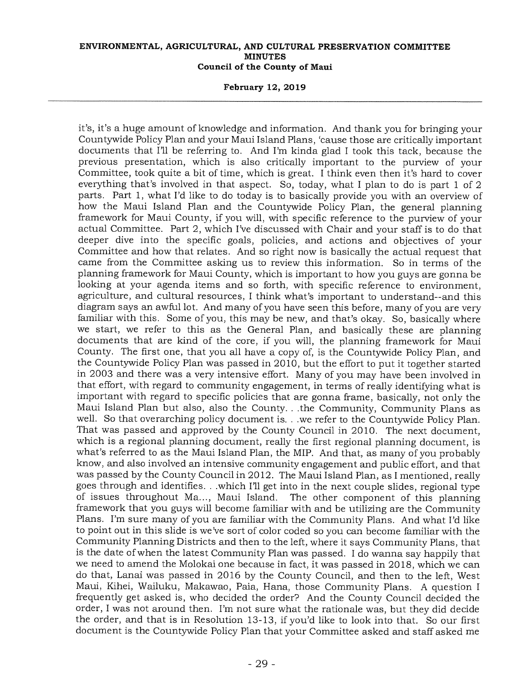### **February 12, 2019**

it's, it's a huge amount of knowledge and information. And thank you for bringing your Countywide Policy Plan and your Maui Island Plans, 'cause those are critically important documents that I'll be referring to. And I'm kinda glad I took this tack, because the previous presentation, which is also critically important to the purview of your Committee, took quite a bit of time, which is great. I think even then it's hard to cover everything that's involved in that aspect. So, today, what I plan to do is part 1 of 2 parts. Part 1, what I'd like to do today is to basically provide you with an overview of how the Maui Island Plan and the Countywide Policy Plan, the general planning framework for Maui County, if you will, with specific reference to the purview of your actual Committee. Part 2, which I've discussed with Chair and your staff is to do that deeper dive into the specific goals, policies, and actions and objectives of your Committee and how that relates. And so right now is basically the actual request that came from the Committee asking us to review this information. So in terms of the planning framework for Maui County, which is important to how you guys are gonna be looking at your agenda items and so forth, with specific reference to environment, agriculture, and cultural resources, I think what's important to understand--and this diagram says an awful lot. And many of you have seen this before, many of you are very familiar with this. Some of you, this may be new, and that's okay. So, basically where we start, we refer to this as the General Plan, and basically these are planning documents that are kind of the core, if you will, the planning framework for Maui County. The first one, that you all have a copy of, is the Countywide Policy Plan, and the Countywide Policy Plan was passed in 2010, but the effort to put it together started in 2003 and there was a very intensive effort. Many of you may have been involved in that effort, with regard to community engagement, in terms of really identifying what is important with regard to specific policies that are gonna frame, basically, not only the Maui Island Plan but also, also the County. . .the Community, Community Plans as well. So that overarching policy document is. . .we refer to the Countywide Policy Plan. That was passed and approved by the County Council in 2010. The next document, which is a regional planning document, really the first regional planning document, is what's referred to as the Maui Island Plan, the MIP. And that, as many of you probably know, and also involved an intensive community engagement and public effort, and that was passed by the County Council in 2012. The Maui Island Plan, as I mentioned, really goes through and identifies. . .which I'll get into in the next couple slides, regional type of issues throughout Ma..., Maui Island. The other component of this planning framework that you guys will become familiar with and be utilizing are the Community Plans. I'm sure many of you are familiar with the Community Plans. And what I'd like to point out in this slide is we've sort of color coded so you can become familiar with the Community Planning Districts and then to the left, where it says Community Plans, that is the date of when the latest Community Plan was passed. I do wanna say happily that we need to amend the Molokai one because in fact, it was passed in 2018, which we can do that, Lanai was passed in 2016 by the County Council, and then to the left, West Maui, Kihei, Wailuku, Makawao, Paia, Hana, those Community Plans. A question I frequently get asked is, who decided the order? And the County Council decided the order, I was not around then. I'm not sure what the rationale was, but they did decide the order, and that is in Resolution 13-13, if you'd like to look into that. So our first document is the Countywide Policy Plan that your Committee asked and staff asked me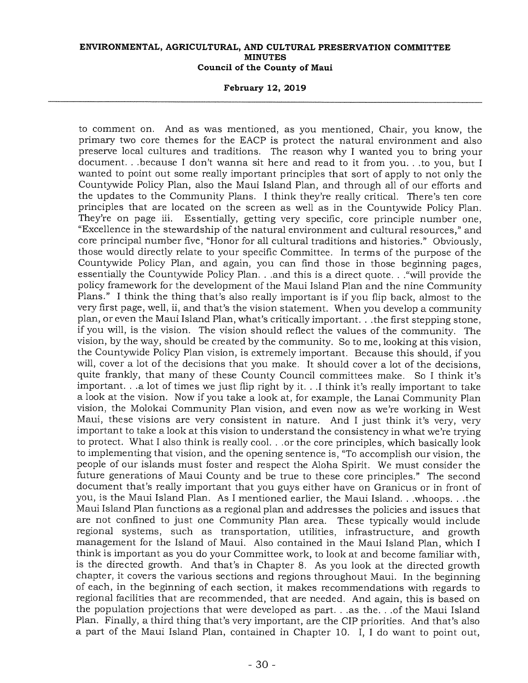**February 12, 2019** 

to comment on. And as was mentioned, as you mentioned, Chair, you know, the primary two core themes for the EACP is protect the natural environment and also preserve local cultures and traditions. The reason why I wanted you to bring your document. . .because I don't wanna sit here and read to it from you. . .to you, but I wanted to point out some really important principles that sort of apply to not only the Countywide Policy Plan, also the Maui Island Plan, and through all of our efforts and the updates to the Community Plans. I think they're really critical. There's ten core principles that are located on the screen as well as in the Countywide Policy Plan. They're on page iii. Essentially, getting very specific, core principle number one, "Excellence in the stewardship of the natural environment and cultural resources," and core principal number five, "Honor for all cultural traditions and histories." Obviously, those would directly relate to your specific Committee. In terms of the purpose of the Countywide Policy Plan, and again, you can find those in those beginning pages, essentially the Countywide Policy Plan. . .and this is a direct quote. . ."will provide the policy framework for the development of the Maui Island Plan and the nine Community Plans." I think the thing that's also really important is if you flip back, almost to the very first page, well, ii, and that's the vision statement. When you develop a community plan, or even the Maui Island Plan, what's critically important. . the first stepping stone, if you will, is the vision. The vision should reflect the values of the community. The vision, by the way, should be created by the community. So to me, looking at this vision, the Countywide Policy Plan vision, is extremely important. Because this should, if you will, cover a lot of the decisions that you make. It should cover a lot of the decisions, quite frankly, that many of these County Council committees make. So I think it's important. . .a lot of times we just flip right by it. . .I think it's really important to take a look at the vision. Now if you take a look at, for example, the Lanai Community Plan vision, the Molokai Community Plan vision, and even now as we're working in West Maui, these visions are very consistent in nature. And I just think it's very, very important to take a look at this vision to understand the consistency in what we're trying to protect. What I also think is really cool. . .or the core principles, which basically look to implementing that vision, and the opening sentence is, "To accomplish our vision, the people of our islands must foster and respect the Aloha Spirit. We must consider the future generations of Maui County and be true to these core principles." The second document that's really important that you guys either have on Granicus or in front of you, is the Maui Island Plan. As I mentioned earlier, the Maui Island. . .whoops. . .the Maui Island Plan functions as a regional plan and addresses the policies and issues that are not confined to just one Community Plan area. These typically would include regional systems, such as transportation, utilities, infrastructure, and growth management for the Island of Maui. Also contained in the Maui Island Plan, which I think is important as you do your Committee work, to look at and become familiar with, is the directed growth. And that's in Chapter 8. As you look at the directed growth chapter, it covers the various sections and regions throughout Maui. In the beginning of each, in the beginning of each section, it makes recommendations with regards to regional facilities that are recommended, that are needed. And again, this is based on the population projections that were developed as part. . .as the. . .of the Maui Island Plan. Finally, a third thing that's very important, are the CIP priorities. And that's also a part of the Maui Island Plan, contained in Chapter 10. I, I do want to point out,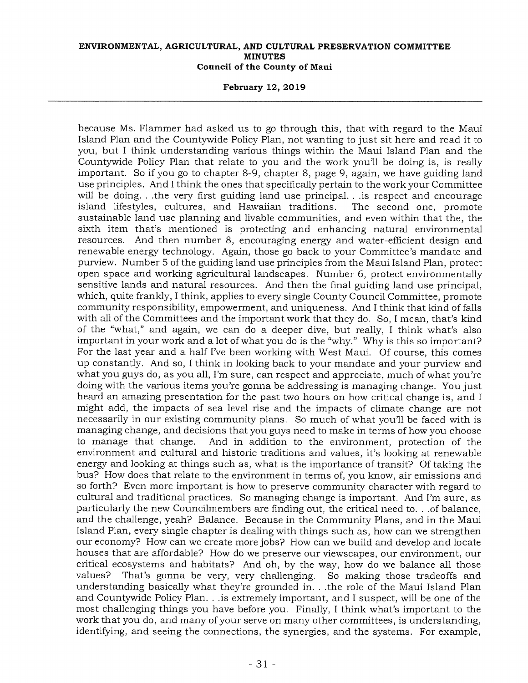**February 12, 2019** 

because Ms. Flammer had asked us to go through this, that with regard to the Maui Island Plan and the Countywide Policy Plan, not wanting to just sit here and read it to you, but I think understanding various things within the Maui Island Plan and the Countywide Policy Plan that relate to you and the work you'll be doing is, is really important. So if you go to chapter 8-9, chapter 8, page 9, again, we have guiding land use principles. And I think the ones that specifically pertain to the work your Committee will be doing. . .the very first guiding land use principal. . .is respect and encourage island lifestyles, cultures, and Hawaiian traditions. The second one, promote sustainable land use planning and livable communities, and even within that the, the sixth item that's mentioned is protecting and enhancing natural environmental resources. And then number 8, encouraging energy and water-efficient design and renewable energy technology. Again, those go back to your Committee's mandate and purview. Number 5 of the guiding land use principles from the Maui Island Plan, protect open space and working agricultural landscapes. Number 6, protect environmentally sensitive lands and natural resources. And then the final guiding land use principal, which, quite frankly, I think, applies to every single County Council Committee, promote community responsibility, empowerment, and uniqueness. And I think that kind of falls with all of the Committees and the important work that they do. So, I mean, that's kind of the "what," and again, we can do a deeper dive, but really, I think what's also important in your work and a lot of what you do is the "why." Why is this so important? For the last year and a half I've been working with West Maui. Of course, this comes up constantly. And so, I think in looking back to your mandate and your purview and what you guys do, as you all, I'm sure, can respect and appreciate, much of what you're doing with the various items you're gonna be addressing is managing change. You just heard an amazing presentation for the past two hours on how critical change is, and I might add, the impacts of sea level rise and the impacts of climate change are not necessarily in our existing community plans. So much of what you'll be faced with is managing change, and decisions that you guys need to make in terms of how you choose<br>to manage that change. And in addition to the environment, protection of the And in addition to the environment, protection of the environment and cultural and historic traditions and values, it's looking at renewable energy and looking at things such as, what is the importance of transit? Of taking the bus? How does that relate to the environment in terms of, you know, air emissions and so forth? Even more important is how to preserve community character with regard to cultural and traditional practices. So managing change is important. And I'm sure, as particularly the new Councilmembers are finding out, the critical need to. . .of balance, and the challenge, yeah? Balance. Because in the Community Plans, and in the Maui Island Plan, every single chapter is dealing with things such as, how can we strengthen our economy? How can we create more jobs? How can we build and develop and locate houses that are affordable? How do we preserve our viewscapes, our environment, our critical ecosystems and habitats? And oh, by the way, how do we balance all those values? That's gonna be very, very challenging. So making those tradeoffs and understanding basically what they're grounded in. . .the role of the Maui Island Plan and Countywide Policy Plan. . .is extremely important, and I suspect, will be one of the most challenging things you have before you. Finally, I think what's important to the work that you do, and many of your serve on many other committees, is understanding, identifying, and seeing the connections, the synergies, and the systems. For example,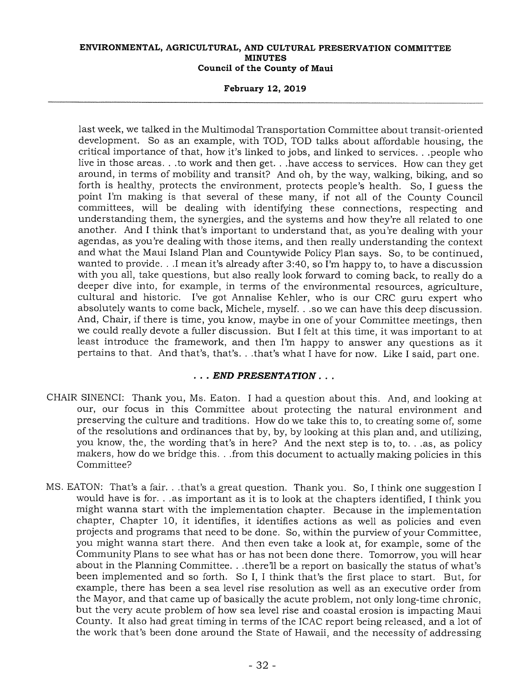### **February 12, 2019**

last week, we talked in the Multimodal Transportation Committee about transit-oriented development. So as an example, with TOD, TOD talks about affordable housing, the critical importance of that, how it's linked to jobs, and linked to services. . .people who live in those areas. . .to work and then get. . .have access to services. How can they get around, in terms of mobility and transit? And oh, by the way, walking, biking, and so forth is healthy, protects the environment, protects people's health. So, I guess the point I'm making is that several of these many, if not all of the County Council committees, will be dealing with identifying these connections, respecting and understanding them, the synergies, and the systems and how they're all related to one another. And I think that's important to understand that, as you're dealing with your agendas, as you're dealing with those items, and then really understanding the context and what the Maui Island Plan and Countywide Policy Plan says. So, to be continued, wanted to provide. ..I mean it's already after 3:40, so I'm happy to, to have a discussion with you all, take questions, but also really look forward to coming back, to really do a deeper dive into, for example, in terms of the environmental resources, agriculture, cultural and historic. I've got Annalise Kehler, who is our CRC guru expert who absolutely wants to come back, Michele, myself. . .so we can have this deep discussion. And, Chair, if there is time, you know, maybe in one of your Committee meetings, then we could really devote a fuller discussion. But I felt at this time, it was important to at least introduce the framework, and then I'm happy to answer any questions as it pertains to that. And that's, that's. . .that's what I have for now. Like I said, part one.

# *. END PRESENTATION . . .*

- CHAIR SINENCI: Thank you, Ms. Eaton. I had a question about this. And, and looking at our, our focus in this Committee about protecting the natural environment and preserving the culture and traditions. How do we take this to, to creating some of, some of the resolutions and ordinances that by, by, by looking at this plan and, and utilizing, you know, the, the wording that's in here? And the next step is to, to. . .as, as policy makers, how do we bridge this. . .from this document to actually making policies in this Committee?
- MS. EATON: That's a fair. . .that's a great question. Thank you. So, I think one suggestion I would have is for. . .as important as it is to look at the chapters identified, I think you might wanna start with the implementation chapter. Because in the implementation chapter, Chapter 10, it identifies, it identifies actions as well as policies and even projects and programs that need to be done. So, within the purview of your Committee, you might wanna start there. And then even take a look at, for example, some of the Community Plans to see what has or has not been done there. Tomorrow, you will hear about in the Planning Committee, . .there'll be a report on basically the status of what's been implemented and so forth. So I, I think that's the first place to start. But, for example, there has been a sea level rise resolution as well as an executive order from the Mayor, and that came up of basically the acute problem, not only long-time chronic, but the very acute problem of how sea level rise and coastal erosion is impacting Maui County. It also had great timing in terms of the ICAC report being released, and a lot of the work that's been done around the State of Hawaii, and the necessity of addressing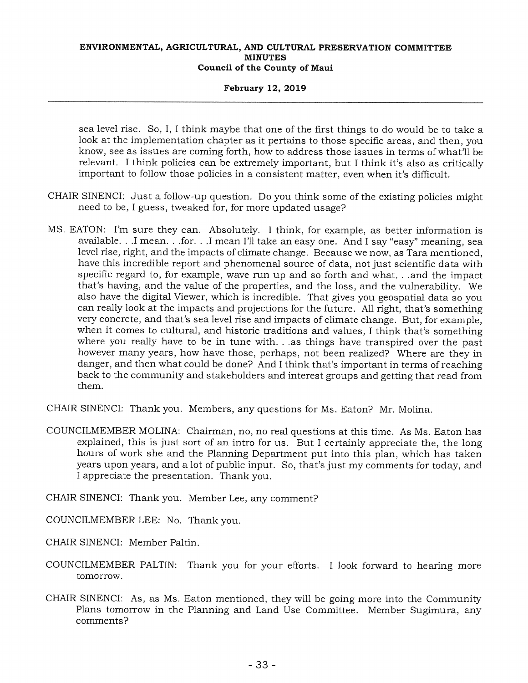### **February 12, 2019**

sea level rise. So, I, I think maybe that one of the first things to do would be to take a look at the implementation chapter as it pertains to those specific areas, and then, you know, see as issues are coming forth, how to address those issues in terms of what'll be relevant. I think policies can be extremely important, but I think it's also as critically important to follow those policies in a consistent matter, even when it's difficult.

- CHAIR SINENCI: Just a follow-up question. Do you think some of the existing policies might need to be, I guess, tweaked for, for more updated usage?
- MS. EATON: I'm sure they can. Absolutely. I think, for example, as better information is available. . .I mean. . .for. . .I mean I'll take an easy one. And I say "easy" meaning, sea level rise, right, and the impacts of climate change. Because we now, as Tara mentioned, have this incredible report and phenomenal source of data, not just scientific data with specific regard to, for example, wave run up and so forth and what. . .and the impact that's having, and the value of the properties, and the loss, and the vulnerability. We also have the digital Viewer, which is incredible. That gives you geospatial data so you can really look at the impacts and projections for the future. All right, that's something very concrete, and that's sea level rise and impacts of climate change. But, for example, when it comes to cultural, and historic traditions and values, I think that's something where you really have to be in tune with. . .as things have transpired over the past however many years, how have those, perhaps, not been realized? Where are they in danger, and then what could be done? And I think that's important in terms of reaching back to the community and stakeholders and interest groups and getting that read from them.

CHAIR SINENCI: Thank you. Members, any questions for Ms. Eaton? Mr. Molina.

COUNCILMEMBER MOLINA: Chairman, no, no real questions at this time. As Ms. Eaton has explained, this is just sort of an intro for us. But I certainly appreciate the, the long hours of work she and the Planning Department put into this plan, which has taken years upon years, and a lot of public input. So, that's just my comments for today, and I appreciate the presentation. Thank you.

CHAIR SINENCI: Thank you. Member Lee, any comment?

COUNCILMEMBER LEE: No. Thank you.

CHAIR SINENCI: Member Paltin.

- COUNCILMEMBER PALTIN: Thank you for your efforts. I look forward to hearing more tomorrow.
- CHAIR SINENCI: As, as Ms. Eaton mentioned, they will be going more into the Community Plans tomorrow in the Planning and Land Use Committee. Member Sugimura, any comments?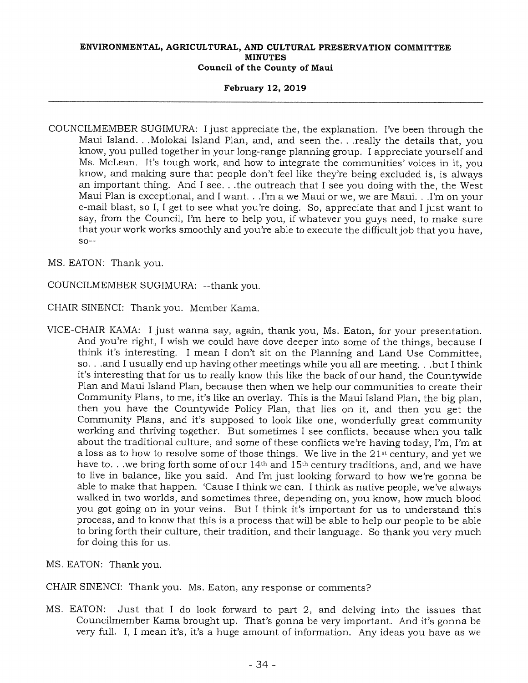### **February 12, 2019**

COUNCILMEMBER SUGIMURA: I just appreciate the, the explanation. I've been through the Maui Island. . .Molokai Island Plan, and, and seen the. . .really the details that, you know, you pulled together in your long-range planning group. I appreciate yourself and Ms. McLean. It's tough work, and how to integrate the communities' voices in it, you know, and making sure that people don't feel like they're being excluded is, is always an important thing. And I see. . .the outreach that I see you doing with the, the West Maui Plan is exceptional, and I want. • .I'm a we Maui or we, we are Maui. . .I'm on your e-mail blast, so I, I get to see what you're doing. So, appreciate that and I just want to say, from the Council, I'm here to help you, if whatever you guys need, to make sure that your work works smoothly and you're able to execute the difficult job that you have,  $so--$ 

MS. EATON: Thank you.

COUNCILMEMBER SUGIMURA: --thank you.

CHAIR SINENCI: Thank you. Member Kama.

- VICE-CHAIR KAMA: I just wanna say, again, thank you, Ms. Eaton, for your presentation. And you're right, I wish we could have dove deeper into some of the things, because I think it's interesting. I mean I don't sit on the Planning and Land Use Committee, so. . .and I usually end up having other meetings while you all are meeting. . .but I think it's interesting that for us to really know this like the back of our hand, the Countywide Plan and Maui Island Plan, because then when we help our communities to create their Community Plans, to me, it's like an overlay. This is the Maui Island Plan, the big plan, then you have the Countywide Policy Plan, that lies on it, and then you get the Community Plans, and it's supposed to look like one, wonderfully great community working and thriving together. But sometimes I see conflicts, because when you talk about the traditional culture, and some of these conflicts we're having today, I'm, I'm at a loss as to how to resolve some of those things. We live in the 21st century, and yet we have to. . .we bring forth some of our 14<sup>th</sup> and 15<sup>th</sup> century traditions, and, and we have to live in balance, like you said. And I'm just looking forward to how we're gonna be able to make that happen. 'Cause I think we can. I think as native people, we've always walked in two worlds, and sometimes three, depending on, you know, how much blood you got going on in your veins. But I think it's important for us to understand this process, and to know that this is a process that will be able to help our people to be able to bring forth their culture, their tradition, and their language. So thank you very much for doing this for us.
- MS. EATON: Thank you.

CHAIR SINENCI: Thank you. Ms. Eaton, any response or comments?

MS. EATON: Just that I do look forward to part 2, and delving into the issues that Councilmember Kama brought up. That's gonna be very important. And it's gonna be very full. I, I mean it's, it's a huge amount of information. Any ideas you have as we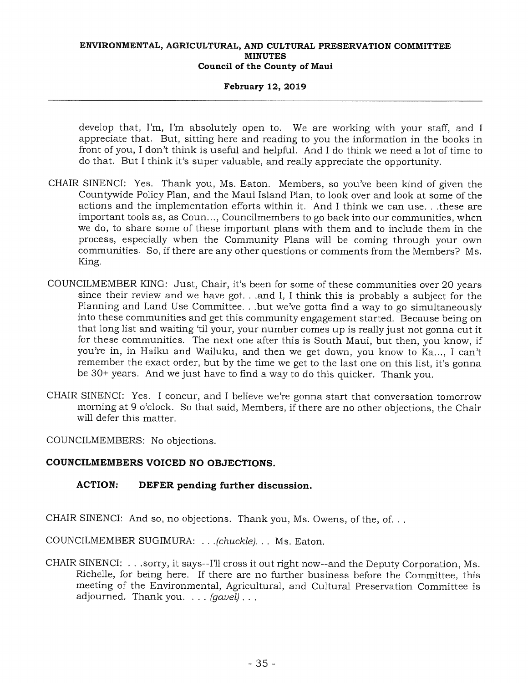### **February 12, 2019**

develop that, I'm, I'm absolutely open to. We are working with your staff, and I appreciate that. But, sitting here and reading to you the information in the books in front of you, I don't think is useful and helpful. And I do think we need a lot of time to do that. But I think it's super valuable, and really appreciate the opportunity.

- CHAIR SINENCI: Yes. Thank you, Ms. Eaton. Members, so you've been kind of given the Countywide Policy Plan, and the Maui Island Plan, to look over and look at some of the actions and the implementation efforts within it. And I think we can use. . .these are important tools as, as Coun..., Councilmembers to go back into our communities, when we do, to share some of these important plans with them and to include them in the process, especially when the Community Plans will be coming through your own communities. So, if there are any other questions or comments from the Members? Ms. King.
- COUNCILMEMBER KING: Just, Chair, it's been for some of these communities over 20 years since their review and we have got. . .and I, I think this is probably a subject for the Planning and Land Use Committee. . .but we've gotta find a way to go simultaneously into these communities and get this community engagement started. Because being on that long list and waiting 'til your, your number comes up is really just not gonna cut it for these communities. The next one after this is South Maui, but then, you know, if you're in, in Haiku and Wailuku, and then we get down, you know to Ka..., I can't remember the exact order, but by the time we get to the last one on this list, it's gonna be 30+ years. And we just have to find a way to do this quicker. Thank you.
- CHAIR SINENCI: Yes. I concur, and I believe we're gonna start that conversation tomorrow morning at 9 o'clock. So that said, Members, if there are no other objections, the Chair will defer this matter.

COUNCILMEMBERS: No objections.

# **COUNCILMEMBERS VOICED NO OBJECTIONS.**

# **ACTION: DEFER pending further discussion.**

CHAIR SINENCI: And so, no objections. Thank you, Ms. Owens, of the, of...

COUNCILMEMBER SUGIMURA: . *.(chuckle). . .* Ms. Eaton.

CHAIR SINENCI: . .sorry, it says—I'll cross it out right now--and the Deputy Corporation, Ms. Richelle, for being here. If there are no further business before the Committee, this meeting of the Environmental, Agricultural, and Cultural Preservation Committee is adjourned. Thank you. . . . *(gavel) . . .*